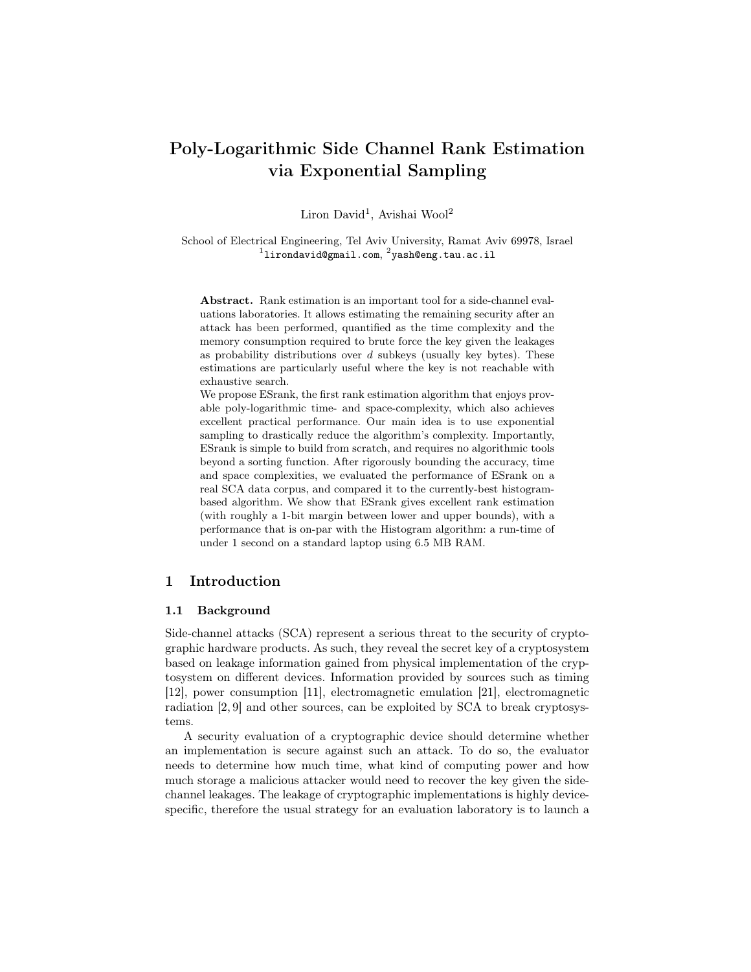# Poly-Logarithmic Side Channel Rank Estimation via Exponential Sampling

Liron David<sup>1</sup>, Avishai Wool<sup>2</sup>

School of Electrical Engineering, Tel Aviv University, Ramat Aviv 69978, Israel  $^1$ lirondavid@gmail.com,  $^2$ yash@eng.tau.ac.il

Abstract. Rank estimation is an important tool for a side-channel evaluations laboratories. It allows estimating the remaining security after an attack has been performed, quantified as the time complexity and the memory consumption required to brute force the key given the leakages as probability distributions over *d* subkeys (usually key bytes). These estimations are particularly useful where the key is not reachable with exhaustive search.

We propose ESrank, the first rank estimation algorithm that enjoys provable poly-logarithmic time- and space-complexity, which also achieves excellent practical performance. Our main idea is to use exponential sampling to drastically reduce the algorithm's complexity. Importantly, ESrank is simple to build from scratch, and requires no algorithmic tools beyond a sorting function. After rigorously bounding the accuracy, time and space complexities, we evaluated the performance of ESrank on a real SCA data corpus, and compared it to the currently-best histogrambased algorithm. We show that ESrank gives excellent rank estimation (with roughly a 1-bit margin between lower and upper bounds), with a performance that is on-par with the Histogram algorithm: a run-time of under 1 second on a standard laptop using 6.5 MB RAM.

## 1 Introduction

### 1.1 Background

Side-channel attacks (SCA) represent a serious threat to the security of cryptographic hardware products. As such, they reveal the secret key of a cryptosystem based on leakage information gained from physical implementation of the cryptosystem on different devices. Information provided by sources such as timing [12], power consumption [11], electromagnetic emulation [21], electromagnetic radiation [2, 9] and other sources, can be exploited by SCA to break cryptosystems.

A security evaluation of a cryptographic device should determine whether an implementation is secure against such an attack. To do so, the evaluator needs to determine how much time, what kind of computing power and how much storage a malicious attacker would need to recover the key given the sidechannel leakages. The leakage of cryptographic implementations is highly devicespecific, therefore the usual strategy for an evaluation laboratory is to launch a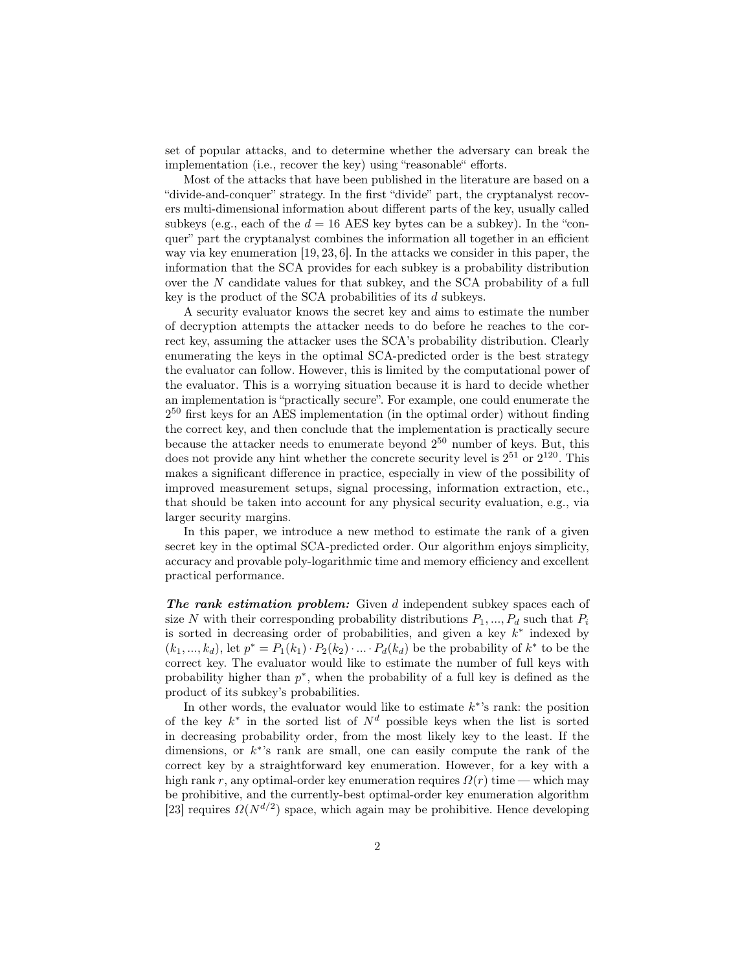set of popular attacks, and to determine whether the adversary can break the implementation (i.e., recover the key) using "reasonable" efforts.

Most of the attacks that have been published in the literature are based on a "divide-and-conquer" strategy. In the first "divide" part, the cryptanalyst recovers multi-dimensional information about different parts of the key, usually called subkeys (e.g., each of the  $d = 16$  AES key bytes can be a subkey). In the "conquer" part the cryptanalyst combines the information all together in an efficient way via key enumeration [19, 23, 6]. In the attacks we consider in this paper, the information that the SCA provides for each subkey is a probability distribution over the *N* candidate values for that subkey, and the SCA probability of a full key is the product of the SCA probabilities of its *d* subkeys.

A security evaluator knows the secret key and aims to estimate the number of decryption attempts the attacker needs to do before he reaches to the correct key, assuming the attacker uses the SCA's probability distribution. Clearly enumerating the keys in the optimal SCA-predicted order is the best strategy the evaluator can follow. However, this is limited by the computational power of the evaluator. This is a worrying situation because it is hard to decide whether an implementation is "practically secure". For example, one could enumerate the 2 <sup>50</sup> first keys for an AES implementation (in the optimal order) without finding the correct key, and then conclude that the implementation is practically secure because the attacker needs to enumerate beyond  $2^{50}$  number of keys. But, this does not provide any hint whether the concrete security level is  $2^{51}$  or  $2^{120}$ . This makes a significant difference in practice, especially in view of the possibility of improved measurement setups, signal processing, information extraction, etc., that should be taken into account for any physical security evaluation, e.g., via larger security margins.

In this paper, we introduce a new method to estimate the rank of a given secret key in the optimal SCA-predicted order. Our algorithm enjoys simplicity, accuracy and provable poly-logarithmic time and memory efficiency and excellent practical performance.

*The rank estimation problem:* Given *d* independent subkey spaces each of size *N* with their corresponding probability distributions  $P_1, ..., P_d$  such that  $P_i$ is sorted in decreasing order of probabilities, and given a key *k ∗* indexed by  $(k_1, ..., k_d)$ , let  $p^* = P_1(k_1) \cdot P_2(k_2) \cdot ... \cdot P_d(k_d)$  be the probability of  $k^*$  to be the correct key. The evaluator would like to estimate the number of full keys with probability higher than *p ∗* , when the probability of a full key is defined as the product of its subkey's probabilities.

In other words, the evaluator would like to estimate *k ∗* 's rank: the position of the key  $k^*$  in the sorted list of  $N^d$  possible keys when the list is sorted in decreasing probability order, from the most likely key to the least. If the dimensions, or *k ∗* 's rank are small, one can easily compute the rank of the correct key by a straightforward key enumeration. However, for a key with a high rank *r*, any optimal-order key enumeration requires  $\Omega(r)$  time — which may be prohibitive, and the currently-best optimal-order key enumeration algorithm [23] requires  $\Omega(N^{d/2})$  space, which again may be prohibitive. Hence developing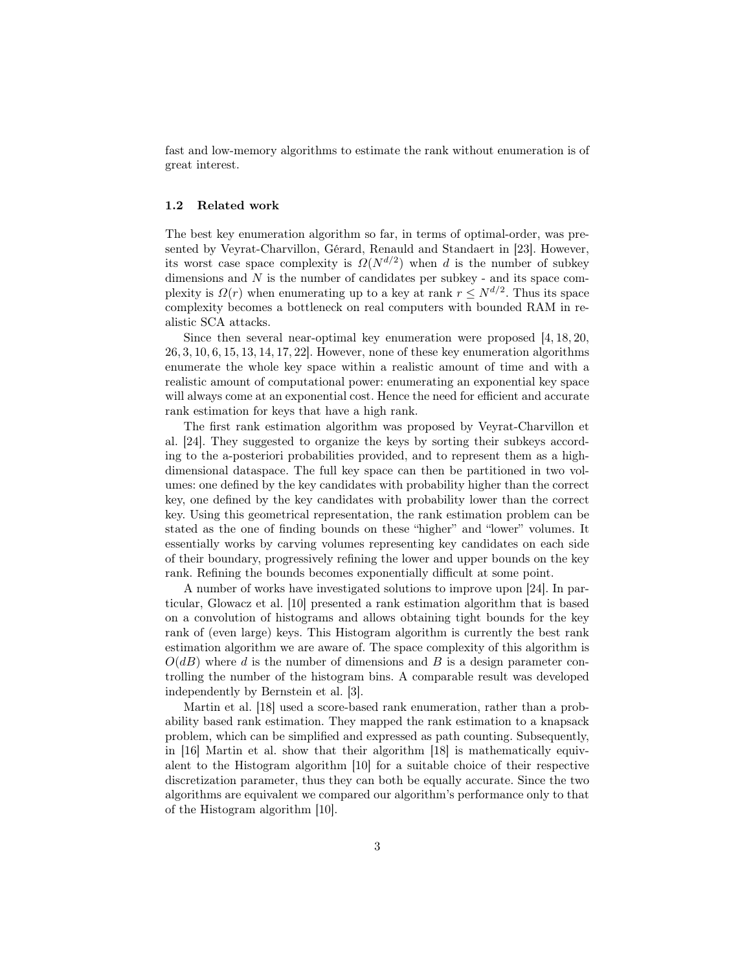fast and low-memory algorithms to estimate the rank without enumeration is of great interest.

#### 1.2 Related work

The best key enumeration algorithm so far, in terms of optimal-order, was presented by Veyrat-Charvillon, Gérard, Renauld and Standaert in [23]. However, its worst case space complexity is  $\Omega(N^{d/2})$  when *d* is the number of subkey dimensions and N is the number of candidates per subkey - and its space complexity is  $\Omega(r)$  when enumerating up to a key at rank  $r \leq N^{d/2}$ . Thus its space complexity becomes a bottleneck on real computers with bounded RAM in realistic SCA attacks.

Since then several near-optimal key enumeration were proposed [4, 18, 20, 26, 3, 10, 6, 15, 13, 14, 17, 22]. However, none of these key enumeration algorithms enumerate the whole key space within a realistic amount of time and with a realistic amount of computational power: enumerating an exponential key space will always come at an exponential cost. Hence the need for efficient and accurate rank estimation for keys that have a high rank.

The first rank estimation algorithm was proposed by Veyrat-Charvillon et al. [24]. They suggested to organize the keys by sorting their subkeys according to the a-posteriori probabilities provided, and to represent them as a highdimensional dataspace. The full key space can then be partitioned in two volumes: one defined by the key candidates with probability higher than the correct key, one defined by the key candidates with probability lower than the correct key. Using this geometrical representation, the rank estimation problem can be stated as the one of finding bounds on these "higher" and "lower" volumes. It essentially works by carving volumes representing key candidates on each side of their boundary, progressively refining the lower and upper bounds on the key rank. Refining the bounds becomes exponentially difficult at some point.

A number of works have investigated solutions to improve upon [24]. In particular, Glowacz et al. [10] presented a rank estimation algorithm that is based on a convolution of histograms and allows obtaining tight bounds for the key rank of (even large) keys. This Histogram algorithm is currently the best rank estimation algorithm we are aware of. The space complexity of this algorithm is  $O(d)$  where *d* is the number of dimensions and *B* is a design parameter controlling the number of the histogram bins. A comparable result was developed independently by Bernstein et al. [3].

Martin et al. [18] used a score-based rank enumeration, rather than a probability based rank estimation. They mapped the rank estimation to a knapsack problem, which can be simplified and expressed as path counting. Subsequently, in [16] Martin et al. show that their algorithm [18] is mathematically equivalent to the Histogram algorithm [10] for a suitable choice of their respective discretization parameter, thus they can both be equally accurate. Since the two algorithms are equivalent we compared our algorithm's performance only to that of the Histogram algorithm [10].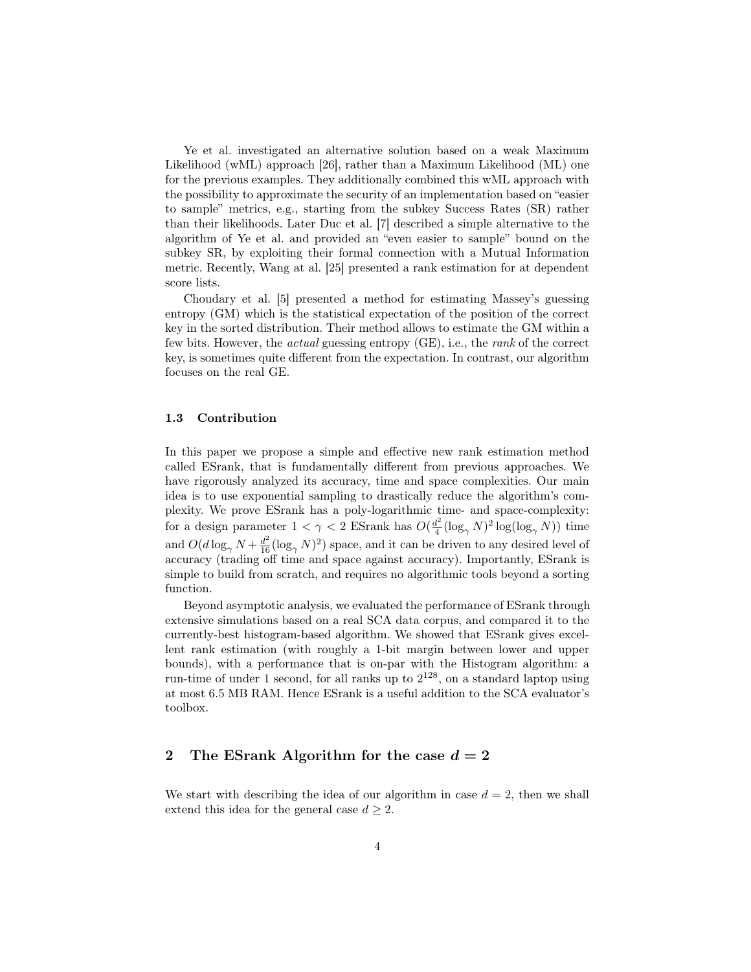Ye et al. investigated an alternative solution based on a weak Maximum Likelihood (wML) approach [26], rather than a Maximum Likelihood (ML) one for the previous examples. They additionally combined this wML approach with the possibility to approximate the security of an implementation based on "easier to sample" metrics, e.g., starting from the subkey Success Rates (SR) rather than their likelihoods. Later Duc et al. [7] described a simple alternative to the algorithm of Ye et al. and provided an "even easier to sample" bound on the subkey SR, by exploiting their formal connection with a Mutual Information metric. Recently, Wang at al. [25] presented a rank estimation for at dependent score lists.

Choudary et al. [5] presented a method for estimating Massey's guessing entropy (GM) which is the statistical expectation of the position of the correct key in the sorted distribution. Their method allows to estimate the GM within a few bits. However, the *actual* guessing entropy (GE), i.e., the *rank* of the correct key, is sometimes quite different from the expectation. In contrast, our algorithm focuses on the real GE.

### 1.3 Contribution

In this paper we propose a simple and effective new rank estimation method called ESrank, that is fundamentally different from previous approaches. We have rigorously analyzed its accuracy, time and space complexities. Our main idea is to use exponential sampling to drastically reduce the algorithm's complexity. We prove ESrank has a poly-logarithmic time- and space-complexity: for a design parameter  $1 < \gamma < 2$  ESrank has  $O(\frac{d^2}{4})$  $\frac{d^2}{4}(\log_\gamma N)^2 \log(\log_\gamma N))$  time and  $O(d \log_{\gamma} N + \frac{d^2}{16} (\log_{\gamma} N)^2)$  space, and it can be driven to any desired level of accuracy (trading off time and space against accuracy). Importantly, ESrank is simple to build from scratch, and requires no algorithmic tools beyond a sorting function.

Beyond asymptotic analysis, we evaluated the performance of ESrank through extensive simulations based on a real SCA data corpus, and compared it to the currently-best histogram-based algorithm. We showed that ESrank gives excellent rank estimation (with roughly a 1-bit margin between lower and upper bounds), with a performance that is on-par with the Histogram algorithm: a run-time of under 1 second, for all ranks up to  $2^{128}$ , on a standard laptop using at most 6.5 MB RAM. Hence ESrank is a useful addition to the SCA evaluator's toolbox.

# 2 The ESrank Algorithm for the case  $d = 2$

We start with describing the idea of our algorithm in case  $d = 2$ , then we shall extend this idea for the general case  $d \geq 2$ .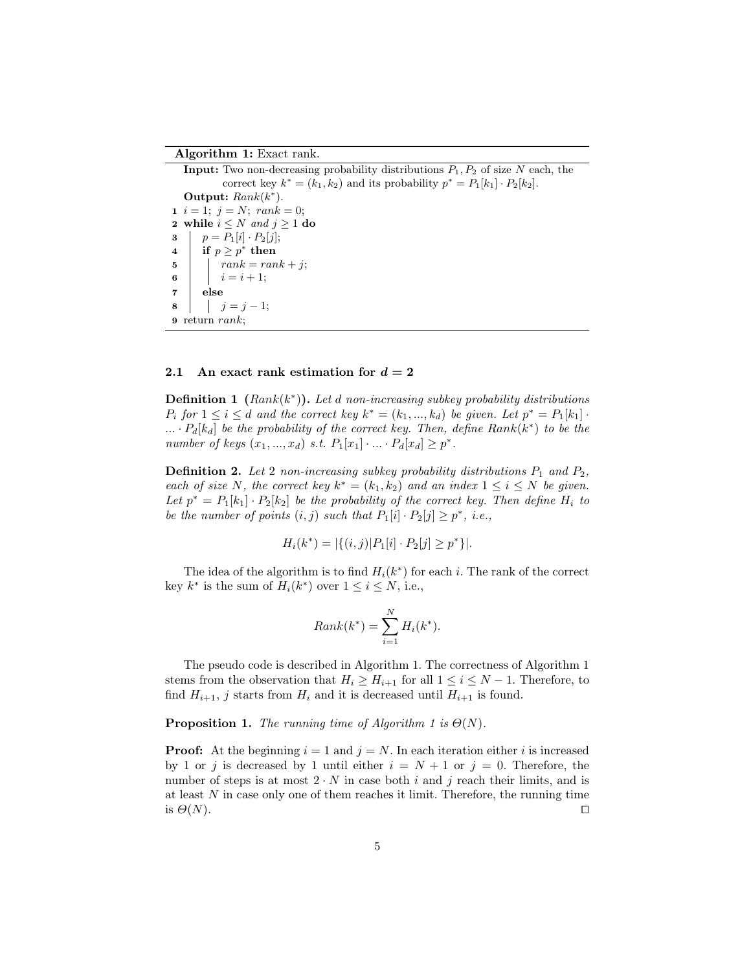### Algorithm 1: Exact rank.

**Input:** Two non-decreasing probability distributions  $P_1, P_2$  of size  $N$  each, the correct key  $k^* = (k_1, k_2)$  and its probability  $p^* = P_1[k_1] \cdot P_2[k_2]$ . Output:  $Rank(k^*)$ . 1  $i = 1$ ;  $j = N$ ;  $rank = 0$ ; 2 while  $i \leq N$  *and*  $j \geq 1$  do  $\begin{array}{c|c} \mathbf{3} & p = P_1[i] \cdot P_2[j]; \\ \mathbf{4} & \mathbf{if} \ p > p^* \ \mathbf{then} \end{array}$  $\textbf{4} \quad | \quad \textbf{if} \ \ p \geq p^* \ \textbf{then}$  $\mathbf{5}$  |  $rank = rank + j;$ 6  $i = i + 1;$ 7 else 8 |  $j = j - 1;$ 9 return *rank*;

### 2.1 An exact rank estimation for  $d = 2$

Definition 1 (*Rank*(*k ∗* )). *Let d non-increasing subkey probability distributions P*<sub>i</sub> for  $1 \le i \le d$  *and the correct key*  $k^* = (k_1, ..., k_d)$  *be given. Let*  $p^* = P_1[k_1] \cdot$ *... · Pd*[*kd*] *be the probability of the correct key. Then, define Rank*(*k ∗* ) *to be the number of keys*  $(x_1, ..., x_d)$  *s.t.*  $P_1[x_1] \cdot ... \cdot P_d[x_d] \geq p^*$ .

**Definition 2.** Let 2 non-increasing subkey probability distributions  $P_1$  and  $P_2$ , *each of size N*, the correct key  $k^* = (k_1, k_2)$  and an index  $1 \leq i \leq N$  *be given. Let*  $p^* = P_1[k_1] \cdot P_2[k_2]$  *be the probability of the correct key. Then define*  $H_i$  *to be the number of points*  $(i, j)$  *such that*  $P_1[i] \cdot P_2[j] \geq p^*$ , *i.e.*,

$$
H_i(k^*) = |\{(i,j)|P_1[i] \cdot P_2[j] \ge p^*\}|.
$$

The idea of the algorithm is to find  $H_i(k^*)$  for each *i*. The rank of the correct  $key k^*$  is the sum of  $H_i(k^*)$  over  $1 \leq i \leq N$ , i.e.,

$$
Rank(k^*) = \sum_{i=1}^{N} H_i(k^*).
$$

The pseudo code is described in Algorithm 1. The correctness of Algorithm 1 stems from the observation that  $H_i \geq H_{i+1}$  for all  $1 \leq i \leq N-1$ . Therefore, to find  $H_{i+1}$ , *j* starts from  $H_i$  and it is decreased until  $H_{i+1}$  is found.

**Proposition 1.** *The running time of Algorithm 1 is*  $\Theta(N)$ *.* 

**Proof:** At the beginning  $i = 1$  and  $j = N$ . In each iteration either i is increased by 1 or *j* is decreased by 1 until either  $i = N + 1$  or  $j = 0$ . Therefore, the number of steps is at most  $2 \cdot N$  in case both *i* and *j* reach their limits, and is at least *N* in case only one of them reaches it limit. Therefore, the running time is  $\Theta(N)$ .  $\Box$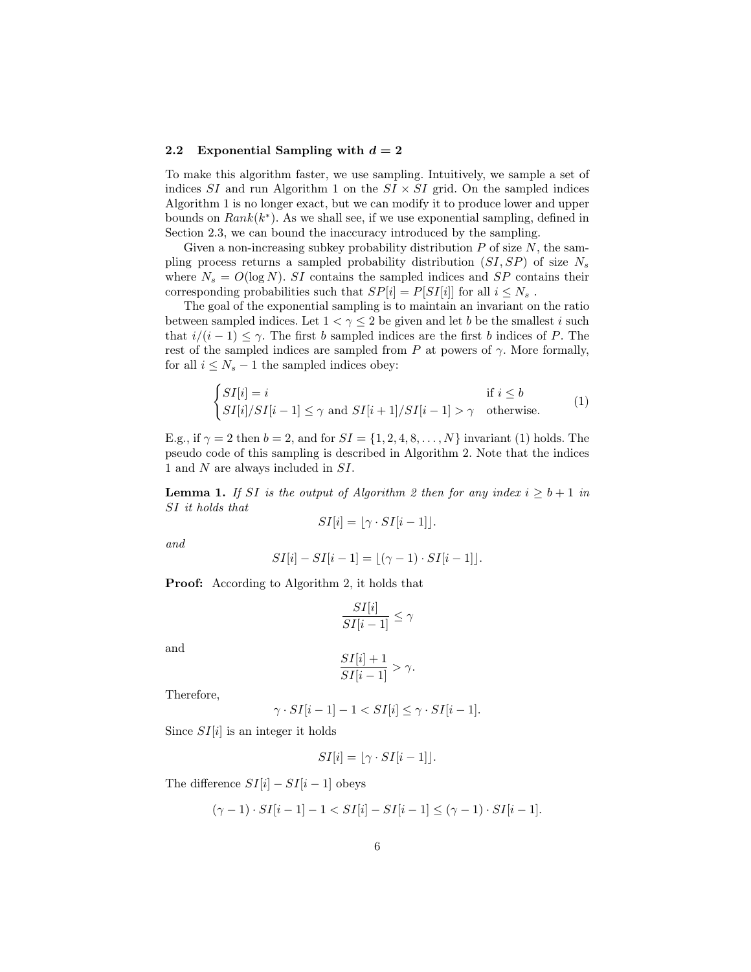### 2.2 Exponential Sampling with  $d = 2$

To make this algorithm faster, we use sampling. Intuitively, we sample a set of indices *SI* and run Algorithm 1 on the  $SI \times SI$  grid. On the sampled indices Algorithm 1 is no longer exact, but we can modify it to produce lower and upper bounds on  $Rank(k^*)$ . As we shall see, if we use exponential sampling, defined in Section 2.3, we can bound the inaccuracy introduced by the sampling.

Given a non-increasing subkey probability distribution *P* of size *N*, the sampling process returns a sampled probability distribution (*SI, SP*) of size *N<sup>s</sup>* where  $N_s = O(\log N)$ . *SI* contains the sampled indices and *SP* contains their corresponding probabilities such that  $SP[i] = P[SI[i]]$  for all  $i \leq N_s$ .

The goal of the exponential sampling is to maintain an invariant on the ratio between sampled indices. Let  $1 < \gamma \leq 2$  be given and let *b* be the smallest *i* such that  $i/(i-1) \leq \gamma$ . The first *b* sampled indices are the first *b* indices of *P*. The rest of the sampled indices are sampled from  $P$  at powers of  $\gamma$ . More formally, for all  $i \leq N_s - 1$  the sampled indices obey:

$$
\begin{cases}\nSI[i] = i & \text{if } i \leq b \\
SI[i]/SI[i-1] \leq \gamma \text{ and } SI[i+1]/SI[i-1] > \gamma & \text{otherwise.} \n\end{cases}
$$
\n(1)

E.g., if  $\gamma = 2$  then  $b = 2$ , and for  $SI = \{1, 2, 4, 8, \ldots, N\}$  invariant (1) holds. The pseudo code of this sampling is described in Algorithm 2. Note that the indices 1 and *N* are always included in *SI*.

**Lemma 1.** *If SI is the output of Algorithm 2 then for any index*  $i \geq b + 1$  *in SI it holds that*

$$
SI[i] = \lfloor \gamma \cdot SI[i-1] \rfloor.
$$

*and*

$$
SI[i]-SI[i-1]=\lfloor(\gamma-1)\cdot SI[i-1]\rfloor.
$$

Proof: According to Algorithm 2, it holds that

$$
\frac{SI[i]}{SI[i-1]} \le \gamma
$$

and

$$
\frac{SI[i]+1}{SI[i-1]} > \gamma.
$$

Therefore,

$$
\gamma \cdot SI[i-1] - 1 < SI[i] \leq \gamma \cdot SI[i-1].
$$

Since *SI*[*i*] is an integer it holds

$$
SI[i] = \lfloor \gamma \cdot SI[i-1] \rfloor.
$$

The difference  $SI[i] - SI[i-1]$  obeys

$$
(\gamma-1)\cdot SI[i-1]-1
$$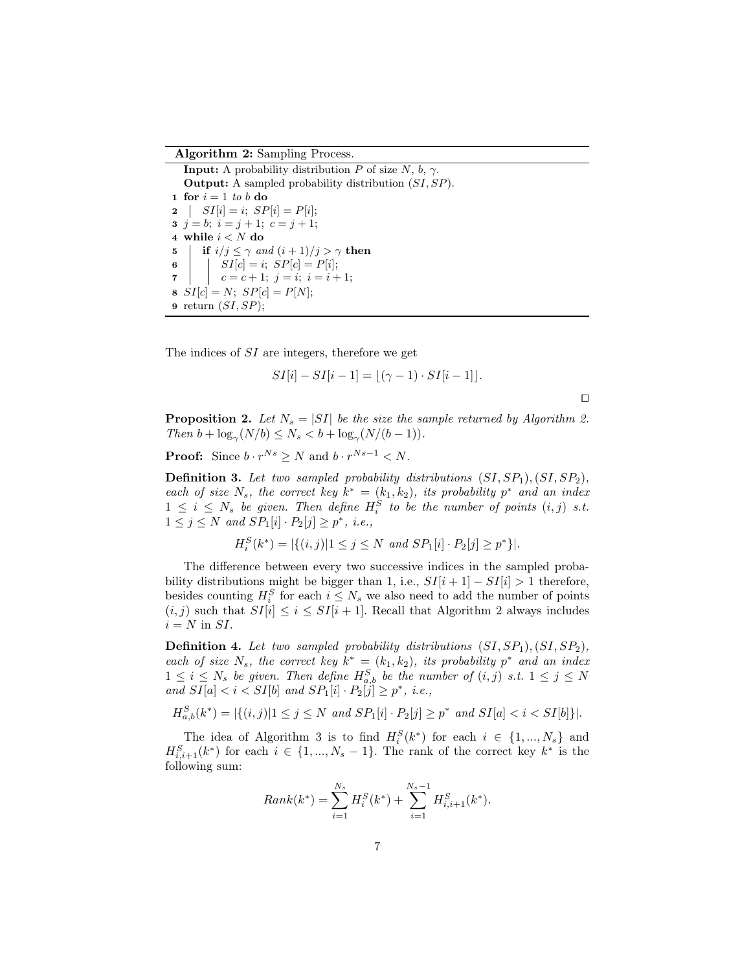### Algorithm 2: Sampling Process.

**Input:** A probability distribution *P* of size  $N$ ,  $b$ ,  $\gamma$ . Output: A sampled probability distribution (*SI, SP*). 1 for  $i = 1$  *to*  $b$  do  $2 \mid SI[i] = i; SP[i] = P[i];$ 3  $j = b$ ;  $i = j + 1$ ;  $c = j + 1$ ; 4 while *i < N* do 5 if  $i/j \leq \gamma$  and  $(i+1)/j > \gamma$  then<br>6 if  $SI[c] = i$ ;  $SP[c] = P[i]$ ;  $SI[c] = i; SP[c] = P[i];$  $c = c + 1; j = i; i = i + 1;$ 8  $SI[c] = N$ ;  $SP[c] = P[N]$ ; 9 return (*SI, SP*);

The indices of *SI* are integers, therefore we get

$$
SI[i] - SI[i-1] = \lfloor (\gamma - 1) \cdot SI[i-1] \rfloor.
$$

*⊓⊔*

**Proposition 2.** Let  $N_s = |SI|$  be the size the sample returned by Algorithm 2. *Then*  $b + \log_{\gamma}(N/b) \leq N_s < b + \log_{\gamma}(N/(b-1)).$ 

**Proof:** Since  $b \cdot r^{Ns} \geq N$  and  $b \cdot r^{Ns-1} \leq N$ .

Definition 3. *Let two sampled probability distributions* (*SI, SP*1)*,*(*SI, SP*2)*, each of size*  $N_s$ *, the correct key*  $k^* = (k_1, k_2)$ *, its probability*  $p^*$  *and an index*  $1 \leq i \leq N_s$  be given. Then define  $H_i^S$  to be the number of points  $(i, j)$  s.t.  $1 \leq j \leq N$  and  $SP_1[i] \cdot P_2[j] \geq p^*$ , *i.e.*,

$$
H_i^S(k^*) = |\{(i,j)|1 \le j \le N \text{ and } SP_1[i] \cdot P_2[j] \ge p^*\}|.
$$

The difference between every two successive indices in the sampled probability distributions might be bigger than 1, i.e.,  $SI[i+1] - SI[i] > 1$  therefore, besides counting  $H_i^S$  for each  $i \leq N_s$  we also need to add the number of points  $(i, j)$  such that  $SI[i] \leq i \leq SI[i + 1]$ . Recall that Algorithm 2 always includes  $i = N$  in *SI*.

Definition 4. *Let two sampled probability distributions* (*SI, SP*1)*,*(*SI, SP*2)*, each of size*  $N_s$ *, the correct key*  $k^* = (k_1, k_2)$ *, its probability*  $p^*$  *and an index*  $1 \leq i \leq N_s$  be given. Then define  $H_{a,b}^S$  be the number of  $(i, j)$  s.t.  $1 \leq j \leq N$ *and*  $SI[a] < i < SI[b]$  *and*  $SP_1[i] \cdot P_2[j] \geq p^*$ , *i.e.*,

$$
H_{a,b}^{S}(k^{*}) = |\{(i,j)|1 \leq j \leq N \text{ and } SP_1[i] \cdot P_2[j] \geq p^{*} \text{ and } SI[a] < i < SI[b] \}|.
$$

The idea of Algorithm 3 is to find  $H_i^S(k^*)$  for each  $i \in \{1, ..., N_s\}$  and  $H_{i,i+1}^S(k^*)$  for each  $i \in \{1, ..., N_s - 1\}$ . The rank of the correct key  $k^*$  is the following sum:

$$
Rank(k^*) = \sum_{i=1}^{N_s} H_i^S(k^*) + \sum_{i=1}^{N_s-1} H_{i,i+1}^S(k^*).
$$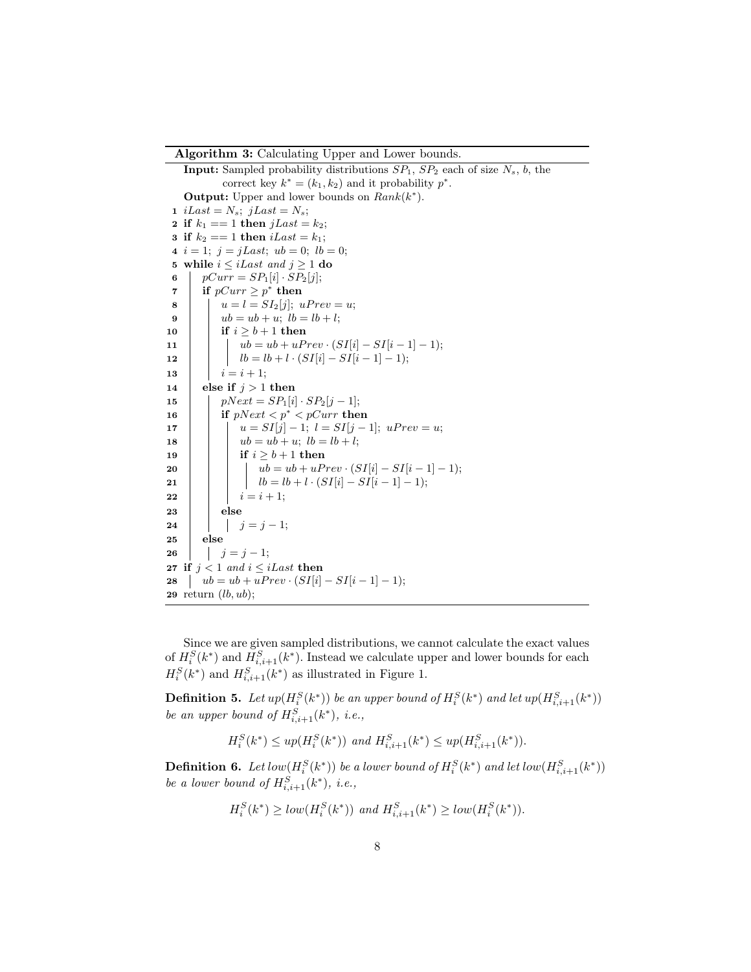#### Algorithm 3: Calculating Upper and Lower bounds.

**Input:** Sampled probability distributions  $SP_1$ ,  $SP_2$  each of size  $N_s$ , *b*, the correct key  $k^* = (k_1, k_2)$  and it probability  $p^*$ . **Output:** Upper and lower bounds on  $Rank(k^*)$ . 1 *iLast* =  $N_s$ ; *jLast* =  $N_s$ ; 2 if  $k_1 == 1$  then  $jLast = k_2$ ; 3 if  $k_2 = 1$  then  $iLast = k_1$ ; 4  $i = 1$ ;  $j = jLast$ ;  $ub = 0$ ;  $lb = 0$ ; 5 while  $i \leq i$ *Last* and  $j \geq 1$  do<br>6  $\mid pCurr = SP_1[i] \cdot SP_2[j];$ 6  $pCurr = SP<sub>1</sub>[i] \cdot SP<sub>2</sub>[j];$ <br>**7** if  $pCurr > p^*$  then  $\mathbf{r}$  | if  $pCurr \geq p^*$  then 8  $|u = l = SI_2[j]; uPrev = u;$ 9  $\vert$   $ub = ub + u; lb = lb + l;$  $\begin{array}{|c|c|c|}\n\hline\n\textbf{10} & \textbf{if } i \geq b+1 \textbf{ then} \\
\hline\n\textbf{11} & \textbf{ib} = ub+uP\n\end{array}$ 11  $\begin{cases}\n1b = ub + uPrev \cdot (SI[i] - SI[i-1] - 1); \\
1b = lb + l \cdot (SI[i] - SI[i-1] - 1); \n\end{cases}$  $lb = lb + l \cdot (SI[i] - SI[i-1] - 1);$ 13  $i = i + 1;$ 14 else if  $j > 1$  then 15 **if**  $pNext = SP_1[i] \cdot SP_2[j-1];$ <br>**if**  $pNext < p^* < pCurrent$  the if  $pNext < p^* < pCurrent$  then 17 **u** =  $SI[j] - 1; l = SI[j - 1]; uPrev = u;$ <br>
18 *ub* =  $ub + u: lb = lb + l$ ;  $ub = ub + u$ ;  $lb = lb + l$ ;  $\begin{array}{|c|c|c|}\n\hline\n\textbf{19} & \textbf{10} & \textbf{if } i \geq b+1 \textbf{ then } \\
\hline\n\textbf{20} & \textbf{if } u b = ub+uP\n\end{array}$  $20$   $\vert$   $\vert$   $\vert$   $ub = ub + uPrev \cdot (SI[i] - SI[i-1] - 1);$  $21$  **d**  $\qquad$   $\qquad$   $\qquad$   $\qquad$   $\qquad$   $\qquad$   $\qquad$   $\qquad$   $\qquad$   $\qquad$   $\qquad$   $\qquad$   $\qquad$   $\qquad$   $\qquad$   $\qquad$   $\qquad$   $\qquad$   $\qquad$   $\qquad$   $\qquad$   $\qquad$   $\qquad$   $\qquad$   $\qquad$   $\qquad$   $\qquad$   $\qquad$   $\qquad$   $\qquad$   $\qquad$   $\qquad$   $\qquad$   $\qquad$   $\qquad$   $\$ 22 | |  $i = i + 1;$  $23$  else **24 j j**  $j = j - 1;$ 25 else 26 **j**  $j = j - 1;$ 27 if  $j < 1$  and  $i \leq i$  *Last* then  $28 \mid ub = ub + uPrev \cdot (SI[i] - SI[i-1] - 1);$ 29 return (*lb, ub*);

Since we are given sampled distributions, we cannot calculate the exact values of  $H_i^S(k^*)$  and  $H_{i,i+1}^S(k^*)$ . Instead we calculate upper and lower bounds for each  $H_i^S(k^*)$  and  $H_{i,i+1}^S(k^*)$  as illustrated in Figure 1.

**Definition 5.** Let  $up(H_i^S(k^*))$  be an upper bound of  $H_i^S(k^*)$  and let  $up(H_{i,i+1}^S(k^*))$ *be an upper bound of*  $H_{i,i+1}^S(k^*)$ *, i.e.,* 

$$
H_i^S(k^*) \le up(H_i^S(k^*)) \text{ and } H_{i,i+1}^S(k^*) \le up(H_{i,i+1}^S(k^*)).
$$

**Definition 6.** Let  $low(H_i^S(k^*))$  be a lower bound of  $H_i^S(k^*)$  and let  $low(H_{i,i+1}^S(k^*))$ *be a lower bound of*  $H_{i,i+1}^S(k^*)$ *, i.e.,* 

$$
H_i^S(k^*) \ge \text{low}(H_i^S(k^*)) \text{ and } H_{i,i+1}^S(k^*) \ge \text{low}(H_i^S(k^*)).
$$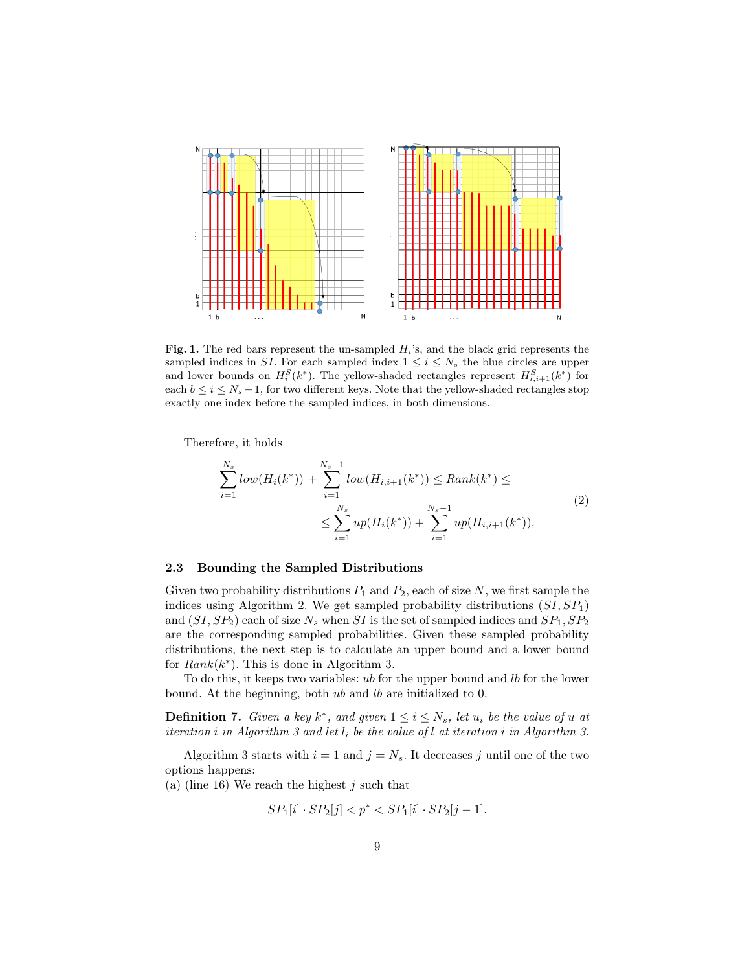

Fig. 1. The red bars represent the un-sampled *Hi*'s, and the black grid represents the sampled indices in *SI*. For each sampled index  $1 \leq i \leq N_s$  the blue circles are upper and lower bounds on  $H_i^S(k^*)$ . The yellow-shaded rectangles represent  $H_{i,i+1}^S(k^*)$  for each  $b \leq i \leq N_s - 1$ , for two different keys. Note that the yellow-shaded rectangles stop exactly one index before the sampled indices, in both dimensions.

Therefore, it holds

$$
\sum_{i=1}^{N_s} low(H_i(k^*)) + \sum_{i=1}^{N_s - 1} low(H_{i,i+1}(k^*)) \leq Rank(k^*) \leq
$$
\n
$$
\leq \sum_{i=1}^{N_s} up(H_i(k^*)) + \sum_{i=1}^{N_s - 1} up(H_{i,i+1}(k^*)).
$$
\n(2)

### 2.3 Bounding the Sampled Distributions

Given two probability distributions  $P_1$  and  $P_2$ , each of size  $N$ , we first sample the indices using Algorithm 2. We get sampled probability distributions (*SI, SP*1) and (*SI, SP*2) each of size *N<sup>s</sup>* when *SI* is the set of sampled indices and *SP*1*, SP*<sup>2</sup> are the corresponding sampled probabilities. Given these sampled probability distributions, the next step is to calculate an upper bound and a lower bound for  $Rank(k^*)$ . This is done in Algorithm 3.

To do this, it keeps two variables: *ub* for the upper bound and *lb* for the lower bound. At the beginning, both *ub* and *lb* are initialized to 0.

**Definition 7.** Given a key  $k^*$ , and given  $1 \leq i \leq N_s$ , let  $u_i$  be the value of  $u$  at *iteration i in Algorithm 3 and let l<sup>i</sup> be the value of l at iteration i in Algorithm 3.*

Algorithm 3 starts with  $i = 1$  and  $j = N_s$ . It decreases *j* until one of the two options happens:

(a) (line 16) We reach the highest *j* such that

$$
SP_1[i] \cdot SP_2[j] < p^* < SP_1[i] \cdot SP_2[j-1].
$$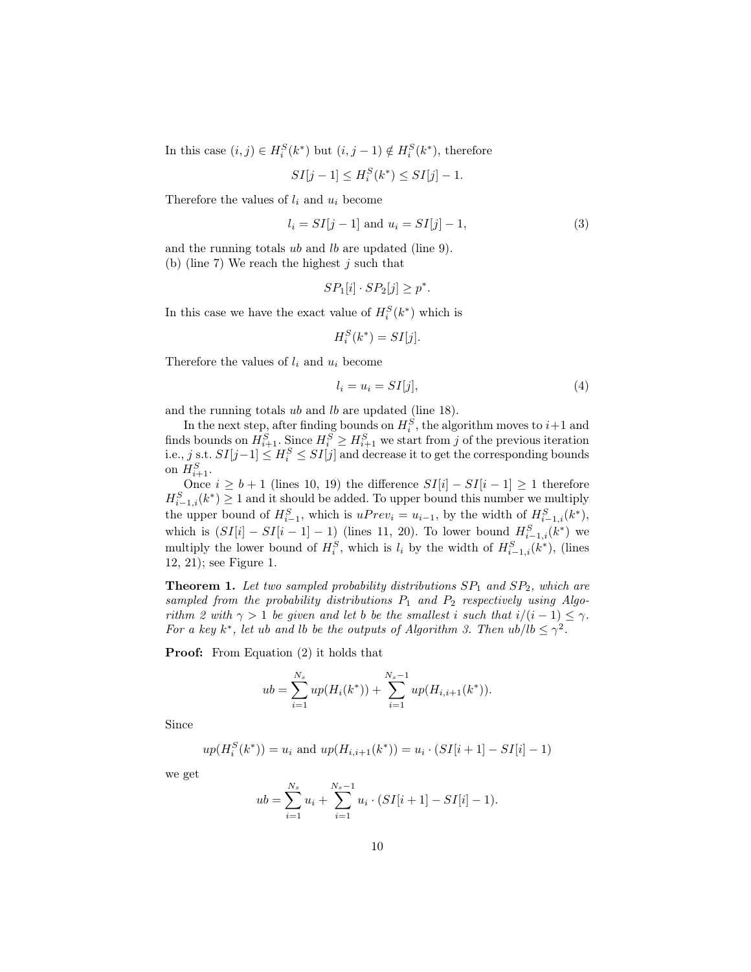In this case  $(i, j) \in H_i^S(k^*)$  but  $(i, j - 1) \notin H_i^S(k^*)$ , therefore

$$
SI[j-1] \le H_i^S(k^*) \le SI[j] - 1.
$$

Therefore the values of *l<sup>i</sup>* and *u<sup>i</sup>* become

$$
l_i = SI[j-1] \text{ and } u_i = SI[j] - 1,
$$
\n(3)

and the running totals *ub* and *lb* are updated (line 9). (b) (line 7) We reach the highest *j* such that

$$
SP_1[i] \cdot SP_2[j] \ge p^*.
$$

In this case we have the exact value of  $H_i^S(k^*)$  which is

$$
H_i^S(k^*) = SI[j].
$$

Therefore the values of  $l_i$  and  $u_i$  become

$$
l_i = u_i = SI[j],\tag{4}
$$

and the running totals *ub* and *lb* are updated (line 18).

In the next step, after finding bounds on  $H_i^S$ , the algorithm moves to  $i+1$  and finds bounds on  $H_{i+1}^S$ . Since  $H_i^S \ge H_{i+1}^S$  we start from *j* of the previous iteration i.e., *j* s.t.  $SI[j-1]$  ≤  $H_i^S$  ≤  $SI[j]$  and decrease it to get the corresponding bounds on  $H_{i+1}^S$ .

Once  $i \ge b + 1$  (lines 10, 19) the difference  $SI[i] - SI[i-1] \ge 1$  therefore  $H_{i-1,i}^S(k^*) \geq 1$  and it should be added. To upper bound this number we multiply the upper bound of  $H_{i-1}^S$ , which is  $uPrev_i = u_{i-1}$ , by the width of  $H_{i-1,i}^S(k^*)$ , which is  $(SI[i] - SI[i-1] - 1)$  (lines 11, 20). To lower bound  $H_{i-1,i}^S(k^*)$  we multiply the lower bound of  $H_i^S$ , which is  $l_i$  by the width of  $H_{i-1,i}^S(k^*)$ , (lines 12, 21); see Figure 1.

Theorem 1. *Let two sampled probability distributions SP*<sup>1</sup> *and SP*2*, which are sampled from the probability distributions P*<sup>1</sup> *and P*<sup>2</sup> *respectively using Algorithm 2 with*  $\gamma > 1$  *be given and let b be the smallest i such that*  $i/(i-1) \leq \gamma$ *. For a key*  $k^*$ , *let ub and lb be the outputs of Algorithm 3. Then*  $ub/lb \leq \gamma^2$ *.* 

Proof: From Equation (2) it holds that

$$
ub = \sum_{i=1}^{N_s} up(H_i(k^*)) + \sum_{i=1}^{N_s-1} up(H_{i,i+1}(k^*)).
$$

Since

$$
up(H_i^S(k^*)) = u_i
$$
 and  $up(H_{i,i+1}(k^*)) = u_i \cdot (SI[i+1] - SI[i] - 1)$ 

we get

$$
ub = \sum_{i=1}^{N_s} u_i + \sum_{i=1}^{N_s - 1} u_i \cdot (SI[i+1] - SI[i] - 1).
$$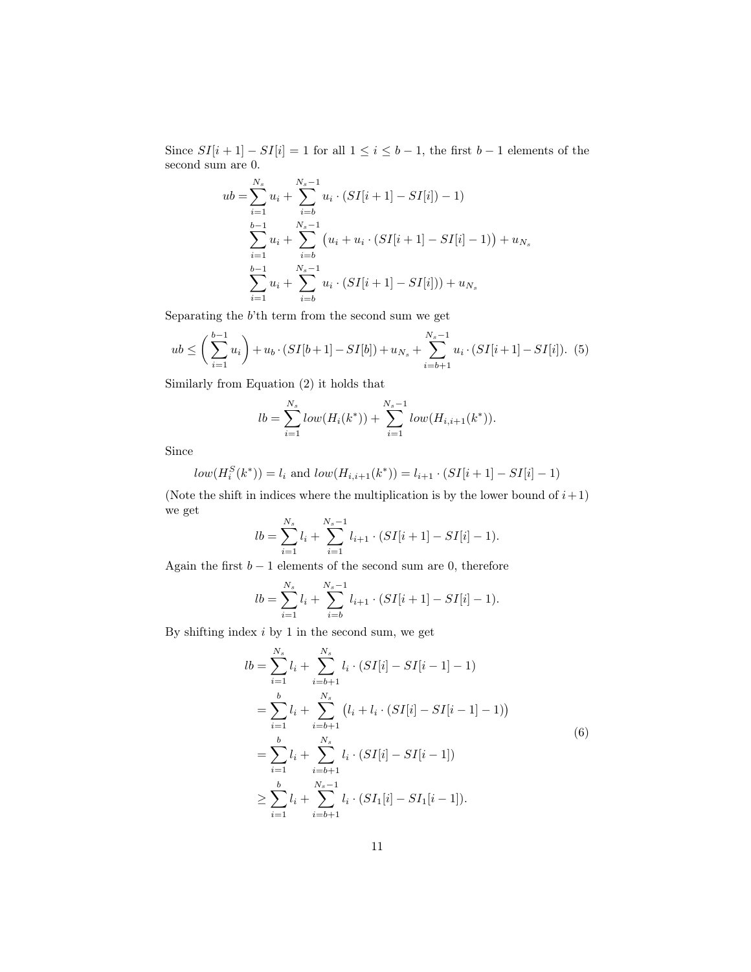Since  $SI[i + 1] - SI[i] = 1$  for all  $1 \leq i \leq b - 1$ , the first  $b - 1$  elements of the second sum are 0.

$$
ub = \sum_{i=1}^{N_s} u_i + \sum_{i=b}^{N_s-1} u_i \cdot (SI[i+1] - SI[i]) - 1)
$$
  

$$
\sum_{i=1}^{b-1} u_i + \sum_{i=b}^{N_s-1} (u_i + u_i \cdot (SI[i+1] - SI[i] - 1)) + u_{N_s}
$$
  

$$
\sum_{i=1}^{b-1} u_i + \sum_{i=b}^{N_s-1} u_i \cdot (SI[i+1] - SI[i])) + u_{N_s}
$$

Separating the *b*'th term from the second sum we get

$$
ub \le \left(\sum_{i=1}^{b-1} u_i\right) + u_b \cdot (SI[b+1] - SI[b]) + u_{Ns} + \sum_{i=b+1}^{N_s - 1} u_i \cdot (SI[i+1] - SI[i]). \tag{5}
$$

Similarly from Equation (2) it holds that

$$
lb = \sum_{i=1}^{N_s} low(H_i(k^*)) + \sum_{i=1}^{N_s-1} low(H_{i,i+1}(k^*)).
$$

Since

$$
low(H_i^S(k^*)) = l_i
$$
 and  $low(H_{i,i+1}(k^*)) = l_{i+1} \cdot (SI[i+1] - SI[i] - 1)$ 

(Note the shift in indices where the multiplication is by the lower bound of  $i+1$ ) we get

$$
lb = \sum_{i=1}^{N_s} l_i + \sum_{i=1}^{N_s - 1} l_{i+1} \cdot (SI[i+1] - SI[i] - 1).
$$

Again the first  $b-1$  elements of the second sum are 0, therefore

$$
lb = \sum_{i=1}^{N_s} l_i + \sum_{i=b}^{N_s-1} l_{i+1} \cdot (SI[i+1] - SI[i] - 1).
$$

By shifting index *i* by 1 in the second sum, we get

$$
lb = \sum_{i=1}^{N_s} l_i + \sum_{i=b+1}^{N_s} l_i \cdot (SI[i] - SI[i-1] - 1)
$$
  
= 
$$
\sum_{i=1}^{b} l_i + \sum_{i=b+1}^{N_s} (l_i + l_i \cdot (SI[i] - SI[i-1] - 1))
$$
  
= 
$$
\sum_{i=1}^{b} l_i + \sum_{i=b+1}^{N_s} l_i \cdot (SI[i] - SI[i-1])
$$
  

$$
\geq \sum_{i=1}^{b} l_i + \sum_{i=b+1}^{N_s-1} l_i \cdot (SI_1[i] - SI_1[i-1]).
$$
 (6)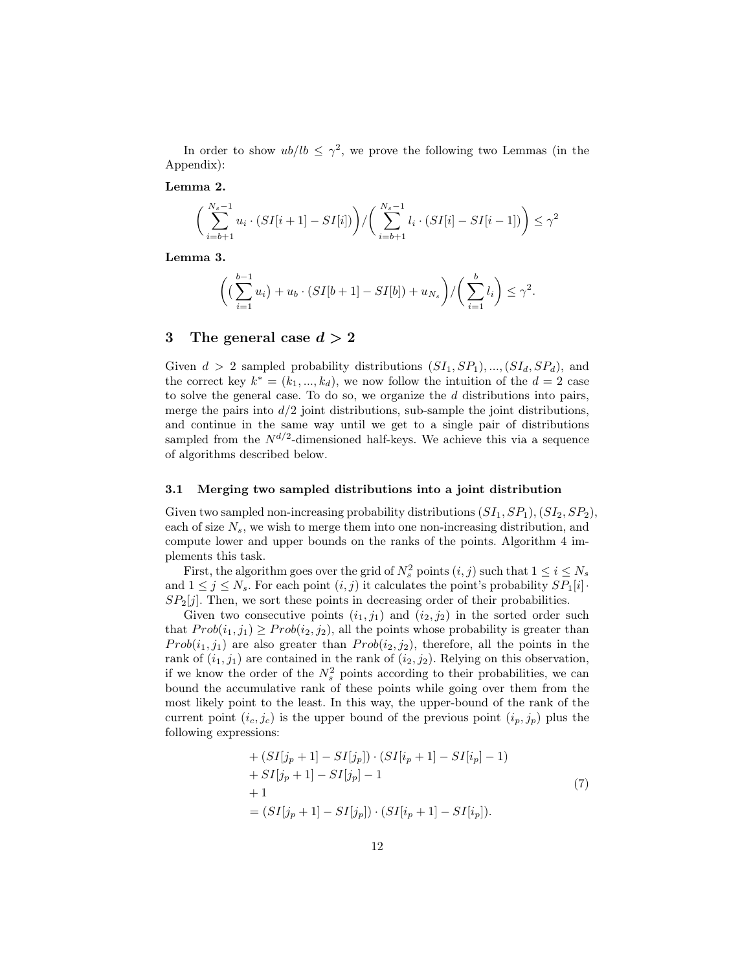In order to show  $ub/lb \leq \gamma^2$ , we prove the following two Lemmas (in the Appendix):

Lemma 2.

$$
\left(\sum_{i=b+1}^{N_s-1} u_i \cdot (SI[i+1] - SI[i])\right) / \left(\sum_{i=b+1}^{N_s-1} l_i \cdot (SI[i] - SI[i-1])\right) \le \gamma^2
$$

Lemma 3.

$$
\left( \left( \sum_{i=1}^{b-1} u_i \right) + u_b \cdot \left( SI[b+1] - SI[b] \right) + u_{N_s} \right) / \left( \sum_{i=1}^{b} l_i \right) \leq \gamma^2.
$$

### 3 The general case  $d > 2$

Given  $d > 2$  sampled probability distributions  $(SI_1, SP_1), ..., (SI_d, SP_d)$ , and the correct key  $k^* = (k_1, ..., k_d)$ , we now follow the intuition of the  $d = 2$  case to solve the general case. To do so, we organize the *d* distributions into pairs, merge the pairs into  $d/2$  joint distributions, sub-sample the joint distributions, and continue in the same way until we get to a single pair of distributions sampled from the  $N^{d/2}$ -dimensioned half-keys. We achieve this via a sequence of algorithms described below.

#### 3.1 Merging two sampled distributions into a joint distribution

Given two sampled non-increasing probability distributions (*SI*1*, SP*1)*,*(*SI*2*, SP*2), each of size *Ns*, we wish to merge them into one non-increasing distribution, and compute lower and upper bounds on the ranks of the points. Algorithm 4 implements this task.

First, the algorithm goes over the grid of  $N_s^2$  points  $(i, j)$  such that  $1 \le i \le N_s$ and  $1 \leq j \leq N_s$ . For each point  $(i, j)$  it calculates the point's probability  $SP_1[i]$ *· SP*2[*j*]. Then, we sort these points in decreasing order of their probabilities.

Given two consecutive points  $(i_1, j_1)$  and  $(i_2, j_2)$  in the sorted order such that  $Prob(i_1, j_1) \ge Prob(i_2, j_2)$ , all the points whose probability is greater than  $Prob(i_1, j_1)$  are also greater than  $Prob(i_2, j_2)$ , therefore, all the points in the rank of  $(i_1, j_1)$  are contained in the rank of  $(i_2, j_2)$ . Relying on this observation, if we know the order of the  $N_s^2$  points according to their probabilities, we can bound the accumulative rank of these points while going over them from the most likely point to the least. In this way, the upper-bound of the rank of the current point  $(i_c, j_c)$  is the upper bound of the previous point  $(i_p, j_p)$  plus the following expressions:

+ 
$$
(SI[j_p + 1] - SI[j_p]) \cdot (SI[i_p + 1] - SI[i_p] - 1)
$$
  
+  $SI[j_p + 1] - SI[j_p] - 1$   
+ 1  
=  $(SI[j_p + 1] - SI[j_p]) \cdot (SI[i_p + 1] - SI[i_p]).$  (7)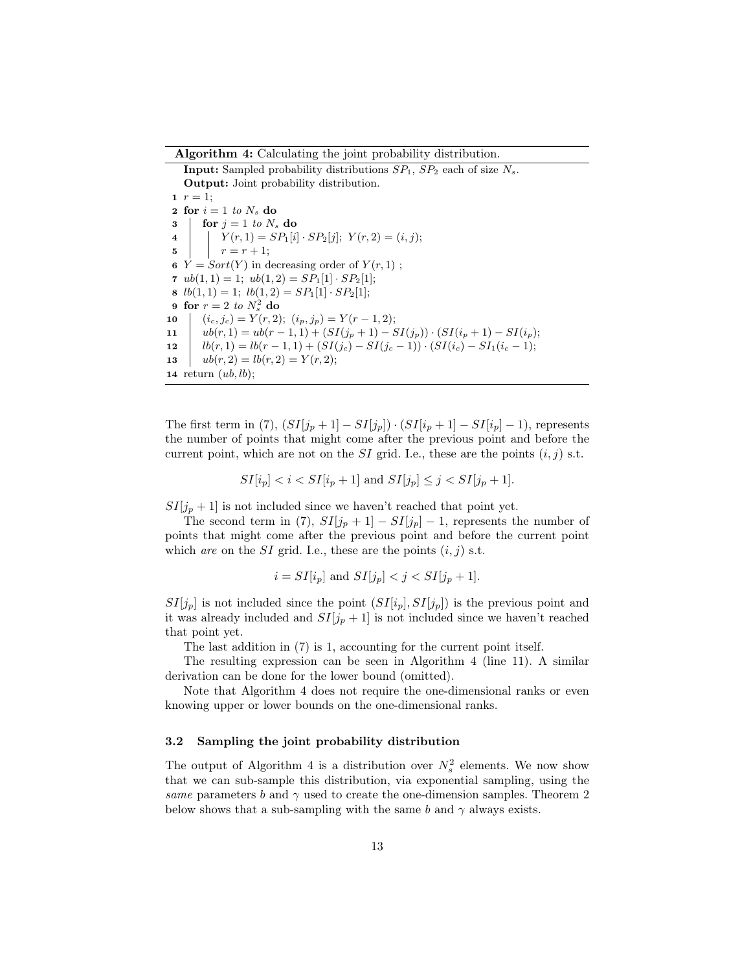Algorithm 4: Calculating the joint probability distribution.

**Input:** Sampled probability distributions  $SP_1$ ,  $SP_2$  each of size  $N_s$ . Output: Joint probability distribution. 1  $r = 1$ ; 2 for  $i = 1$  to  $N_s$  do  $3 \quad \vert \quad \textbf{for} \; j = 1 \; to \; N_s \; \textbf{do}$  $Y(r, 1) = SP_1[i] \cdot SP_2[j];$   $Y(r, 2) = (i, j);$  $r = r + 1;$ 6  $Y = Sort(Y)$  in decreasing order of  $Y(r, 1)$ ;  $7 \text{ } ub(1,1) = 1; \text{ } ub(1,2) = SP<sub>1</sub>[1] \cdot SP<sub>2</sub>[1];$ 8  $lb(1, 1) = 1$ ;  $lb(1, 2) = SP<sub>1</sub>[1] \cdot SP<sub>2</sub>[1]$ ; 9 for  $r = 2$  to  $N_s^2$  do 10  $(i_c, j_c) = Y(r, 2); (i_p, j_p) = Y(r - 1, 2);$ <br>
11  $ub(r, 1) = ub(r - 1, 1) + (SI(j_p + 1) - S)$ 11  $\begin{cases} \nu b(r,1) = \nu b(r-1,1) + (SI(j_p+1) - SI(j_p)) \cdot (SI(i_p+1) - SI(i_p); \\ \nu b(r,1) = \nu b(r-1,1) + (SI(i_p) - SI(i_p-1)) \cdot (SI(i_p) - SI(i_p-1); \end{cases}$ 12  $lb(r, 1) = lb(r - 1, 1) + (SI(j_c) - SI(j_c - 1)) \cdot (SI(i_c) - SI_1(i_c - 1));$ <br>
13  $ub(r, 2) = lb(r, 2) = Y(r, 2);$  $ub(r, 2) = lb(r, 2) = Y(r, 2);$ 14 return (*ub, lb*);

The first term in (7),  $(SI[j_p + 1] - SI[j_p]) \cdot (SI[i_p + 1] - SI[i_p] - 1)$ , represents the number of points that might come after the previous point and before the current point, which are not on the  $SI$  grid. I.e., these are the points  $(i, j)$  s.t.

$$
SI[i_p] < i < SI[i_p + 1]
$$
 and  $SI[j_p] \leq j < SI[j_p + 1]$ .

 $SI[j_p+1]$  is not included since we haven't reached that point yet.

The second term in (7),  $SI[j_p+1]-SI[j_p]-1$ , represents the number of points that might come after the previous point and before the current point which *are* on the *SI* grid. I.e., these are the points  $(i, j)$  s.t.

$$
i = SI[i_p]
$$
 and  $SI[j_p] < j < SI[j_p + 1]$ .

 $SI[j_p]$  is not included since the point  $(SI[i_p], SI[j_p])$  is the previous point and it was already included and  $SI[j_p+1]$  is not included since we haven't reached that point yet.

The last addition in (7) is 1, accounting for the current point itself.

The resulting expression can be seen in Algorithm 4 (line 11). A similar derivation can be done for the lower bound (omitted).

Note that Algorithm 4 does not require the one-dimensional ranks or even knowing upper or lower bounds on the one-dimensional ranks.

### 3.2 Sampling the joint probability distribution

The output of Algorithm 4 is a distribution over  $N_s^2$  elements. We now show that we can sub-sample this distribution, via exponential sampling, using the *same* parameters *b* and  $\gamma$  used to create the one-dimension samples. Theorem 2 below shows that a sub-sampling with the same *b* and  $\gamma$  always exists.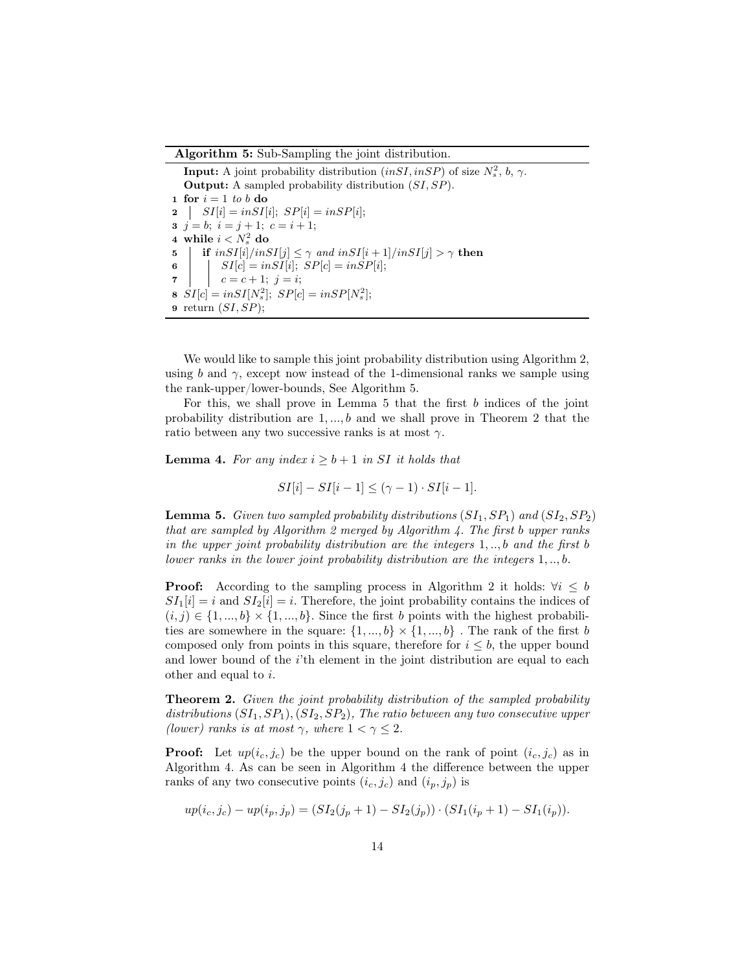Algorithm 5: Sub-Sampling the joint distribution.

**Input:** A joint probability distribution  $(inSI, inSP)$  of size  $N_s^2$ , *b*,  $\gamma$ . Output: A sampled probability distribution (*SI, SP*). 1 for  $i = 1$  to b do 2  $|SI[i] = inSI[i]; SP[i] = inSP[i];$ 3  $j = b$ ;  $i = j + 1$ ;  $c = i + 1$ ; 4 while  $i < N_s^2$  do 5 if  $insI[i]/inSI[j] \leq \gamma$  and  $insI[i+1]/inSI[j] > \gamma$  then<br>6 if  $SI[c] = insI[i];$   $SP[c] = insP[i];$  $SI[c] = inSI[i];$   $SP[c] = inSP[i];$  $r \mid c = c + 1; j = i;$ 8  $SI[c] = inSI[N_s^2];$   $SP[c] = inSP[N_s^2];$ 9 return (*SI, SP*);

We would like to sample this joint probability distribution using Algorithm 2, using *b* and  $\gamma$ , except now instead of the 1-dimensional ranks we sample using the rank-upper/lower-bounds, See Algorithm 5.

For this, we shall prove in Lemma 5 that the first *b* indices of the joint probability distribution are 1*, ..., b* and we shall prove in Theorem 2 that the ratio between any two successive ranks is at most *γ*.

**Lemma 4.** For any index  $i \geq b+1$  in SI it holds that

$$
SI[i] - SI[i-1] \le (\gamma - 1) \cdot SI[i-1].
$$

Lemma 5. *Given two sampled probability distributions* (*SI*1*, SP*1) *and* (*SI*2*, SP*2) *that are sampled by Algorithm 2 merged by Algorithm 4. The first b upper ranks in the upper joint probability distribution are the integers* 1*, .., b and the first b lower ranks in the lower joint probability distribution are the integers* 1*, .., b.*

**Proof:** According to the sampling process in Algorithm 2 it holds:  $\forall i \leq b$  $SI_1[i] = i$  and  $SI_2[i] = i$ . Therefore, the joint probability contains the indices of  $(i, j) \in \{1, ..., b\} \times \{1, ..., b\}$ . Since the first *b* points with the highest probabilities are somewhere in the square:  $\{1, ..., b\} \times \{1, ..., b\}$ . The rank of the first *b* composed only from points in this square, therefore for  $i \leq b$ , the upper bound and lower bound of the *i*'th element in the joint distribution are equal to each other and equal to *i*.

Theorem 2. *Given the joint probability distribution of the sampled probability distributions* (*SI*1*, SP*1)*,*(*SI*2*, SP*2)*, The ratio between any two consecutive upper (lower)* ranks is at most  $\gamma$ , where  $1 < \gamma \leq 2$ .

**Proof:** Let  $up(i_c, j_c)$  be the upper bound on the rank of point  $(i_c, j_c)$  as in Algorithm 4. As can be seen in Algorithm 4 the difference between the upper ranks of any two consecutive points  $(i_c, j_c)$  and  $(i_p, j_p)$  is

$$
up(i_c, j_c) - up(i_p, j_p) = (SI_2(j_p + 1) - SI_2(j_p)) \cdot (SI_1(i_p + 1) - SI_1(i_p)).
$$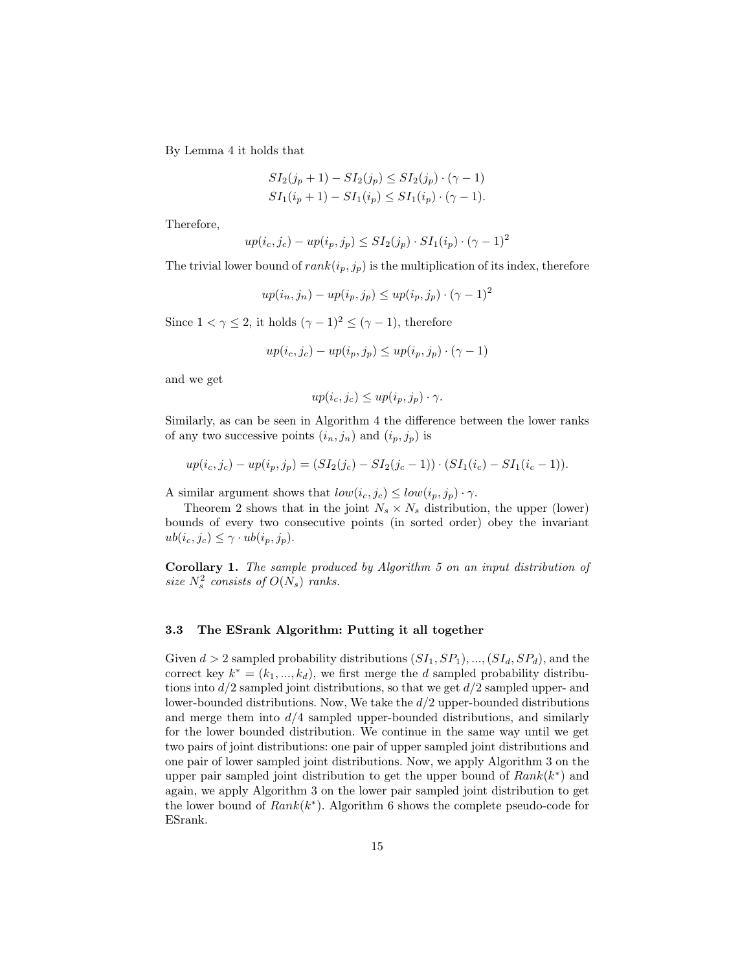By Lemma 4 it holds that

$$
SI_2(j_p + 1) - SI_2(j_p) \leq SI_2(j_p) \cdot (\gamma - 1)
$$
  
\n
$$
SI_1(i_p + 1) - SI_1(i_p) \leq SI_1(i_p) \cdot (\gamma - 1).
$$

Therefore,

$$
up(i_c, j_c) - up(i_p, j_p) \leq SI_2(j_p) \cdot SI_1(i_p) \cdot (\gamma - 1)^2
$$

The trivial lower bound of  $rank(i_p, j_p)$  is the multiplication of its index, therefore

$$
up(i_n, j_n) - up(i_p, j_p) \le up(i_p, j_p) \cdot (\gamma - 1)^2
$$

Since  $1 < \gamma \leq 2$ , it holds  $(\gamma - 1)^2 \leq (\gamma - 1)$ , therefore

$$
up(i_c, j_c) - up(i_p, j_p) \le up(i_p, j_p) \cdot (\gamma - 1)
$$

and we get

$$
up(i_c, j_c) \le up(i_p, j_p) \cdot \gamma.
$$

Similarly, as can be seen in Algorithm 4 the difference between the lower ranks of any two successive points  $(i_n, j_n)$  and  $(i_p, j_p)$  is

$$
up(i_c, j_c) - up(i_p, j_p) = (SI_2(j_c) - SI_2(j_c - 1)) \cdot (SI_1(i_c) - SI_1(i_c - 1)).
$$

A similar argument shows that  $low(i_c, j_c) \leq low(i_p, j_p) \cdot \gamma$ .

Theorem 2 shows that in the joint  $N_s \times N_s$  distribution, the upper (lower) bounds of every two consecutive points (in sorted order) obey the invariant  $ub(i_c, j_c) \leq \gamma \cdot ub(i_p, j_p).$ 

Corollary 1. *The sample produced by Algorithm 5 on an input distribution of* size  $N_s^2$  consists of  $O(N_s)$  ranks.

### 3.3 The ESrank Algorithm: Putting it all together

Given  $d > 2$  sampled probability distributions  $(SI_1, SP_1), ..., (SI_d, SP_d)$ , and the correct key  $k^* = (k_1, ..., k_d)$ , we first merge the *d* sampled probability distributions into *d/*2 sampled joint distributions, so that we get *d/*2 sampled upper- and lower-bounded distributions. Now, We take the *d/*2 upper-bounded distributions and merge them into *d/*4 sampled upper-bounded distributions, and similarly for the lower bounded distribution. We continue in the same way until we get two pairs of joint distributions: one pair of upper sampled joint distributions and one pair of lower sampled joint distributions. Now, we apply Algorithm 3 on the upper pair sampled joint distribution to get the upper bound of *Rank*(*k ∗* ) and again, we apply Algorithm 3 on the lower pair sampled joint distribution to get the lower bound of *Rank*(*k ∗* ). Algorithm 6 shows the complete pseudo-code for ESrank.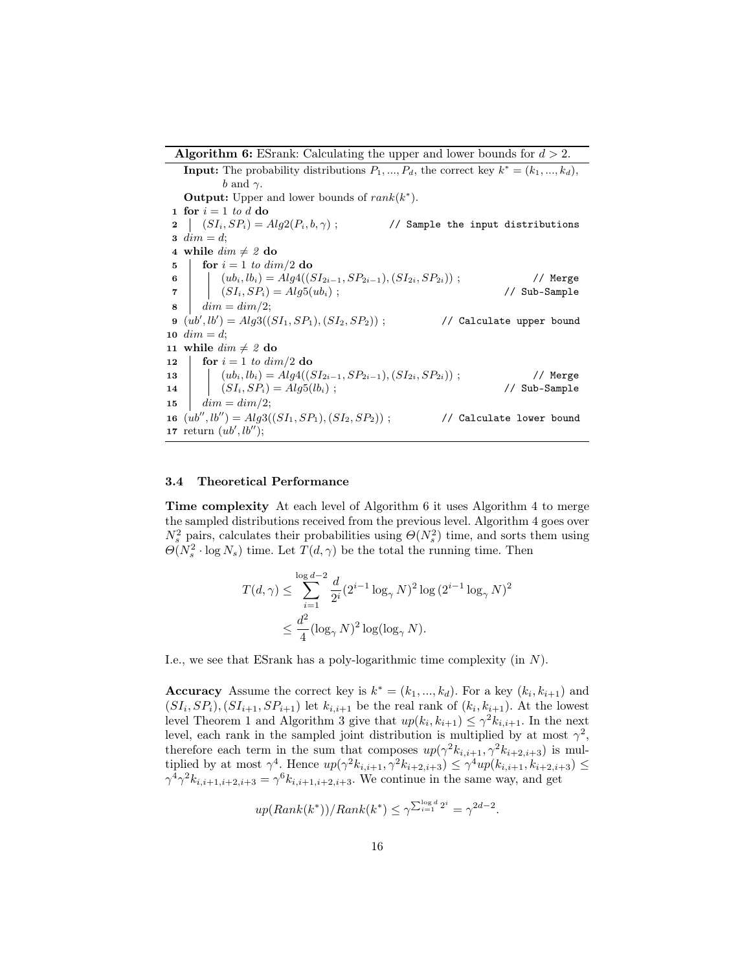Algorithm 6: ESrank: Calculating the upper and lower bounds for  $d > 2$ .

**Input:** The probability distributions  $P_1, ..., P_d$ , the correct key  $k^* = (k_1, ..., k_d)$ , *b* and *γ*. Output: Upper and lower bounds of *rank*(*k ∗* ). 1 for  $i = 1$  *to*  $d$  do 2  $(SI_i, SP_i) = Alg2(P_i, b, \gamma)$ ; // Sample the input distributions 3  $dim = d$ ; 4 while  $dim \neq 2$  do<br>5  $|$  for  $i = 1$  to din for  $i = 1$  *to*  $dim/2$  do 6 (*ub<sub>i</sub>*</sub>,*lb<sub>i</sub>*) =  $Alg4((SI_{2i-1}, SP_{2i-1}), (SI_{2i}, SP_{2i}))$ ; // Merge (*SI<sub>i</sub>*, *SP<sub>i</sub>*) =  $Alg5(ub_i)$ ; // Sub-Sample  $7 \mid | \left( SI_i, SP_i \right) = Alg5(ub_i)$ ;  $8 \ \ \, | \ \ \, dim = dim/2;$  $9\ \ (ub', lb') = Alg3((SI_1, SP_1), (SI_2, SP_2))\ ;$  // Calculate upper bound 10  $dim = d$ ; 11 while  $dim \neq 2$  do<br>12  $|$  for  $i = 1$  to din for  $i = 1$  *to*  $dim/2$  do 13  $(ub_i, lb_i) = Alg4((SI_{2i-1}, SP_{2i-1}), (SI_{2i}, SP_{2i}))$ ; // Merge <br>14  $(SI_i, SP_i) = Alg5(lb_i);$  // Sub-Sample 14  $|$   $(SI_i, SP_i) = Alg5(lb_i)$ ; 15  $\int \, dm = \, dim/2;$ 16  $(ub'', lb'') = Alg3((SI_1, SP_1), (SI_2, SP_2))$ ; // Calculate lower bound 17 return  $(ub', lb'')$ ;

#### 3.4 Theoretical Performance

Time complexity At each level of Algorithm 6 it uses Algorithm 4 to merge the sampled distributions received from the previous level. Algorithm 4 goes over *N*<sub>s</sub><sup>2</sup> pairs, calculates their probabilities using  $Θ(N_s^2)$  time, and sorts them using  $\Theta(N_s^2 \cdot \log N_s)$  time. Let  $T(d, \gamma)$  be the total the running time. Then

$$
T(d,\gamma) \le \sum_{i=1}^{\log d-2} \frac{d}{2^i} (2^{i-1} \log_{\gamma} N)^2 \log (2^{i-1} \log_{\gamma} N)^2
$$
  

$$
\le \frac{d^2}{4} (\log_{\gamma} N)^2 \log(\log_{\gamma} N).
$$

I.e., we see that ESrank has a poly-logarithmic time complexity (in *N*).

Accuracy Assume the correct key is  $k^* = (k_1, ..., k_d)$ . For a key  $(k_i, k_{i+1})$  and  $(SI_i, SP_i)$ ,  $(SI_{i+1}, SP_{i+1})$  let  $k_{i,i+1}$  be the real rank of  $(k_i, k_{i+1})$ . At the lowest level Theorem 1 and Algorithm 3 give that  $up(k_i, k_{i+1}) \leq \gamma^2 k_{i,i+1}$ . In the next level, each rank in the sampled joint distribution is multiplied by at most  $\gamma^2$ , therefore each term in the sum that composes  $up(\gamma^2 k_{i,i+1}, \gamma^2 k_{i+2,i+3})$  is multiplied by at most  $\gamma^4$ . Hence  $up(\gamma^2 k_{i,i+1}, \gamma^2 k_{i+2,i+3}) \leq \gamma^4 up(k_{i,i+1}, k_{i+2,i+3}) \leq$  $\gamma^4 \gamma^2 k_{i,i+1,i+2,i+3} = \gamma^6 k_{i,i+1,i+2,i+3}$ . We continue in the same way, and get

$$
up(Rank(k^*))/Rank(k^*) \le \gamma^{\sum_{i=1}^{\log d} 2^i} = \gamma^{2d-2}.
$$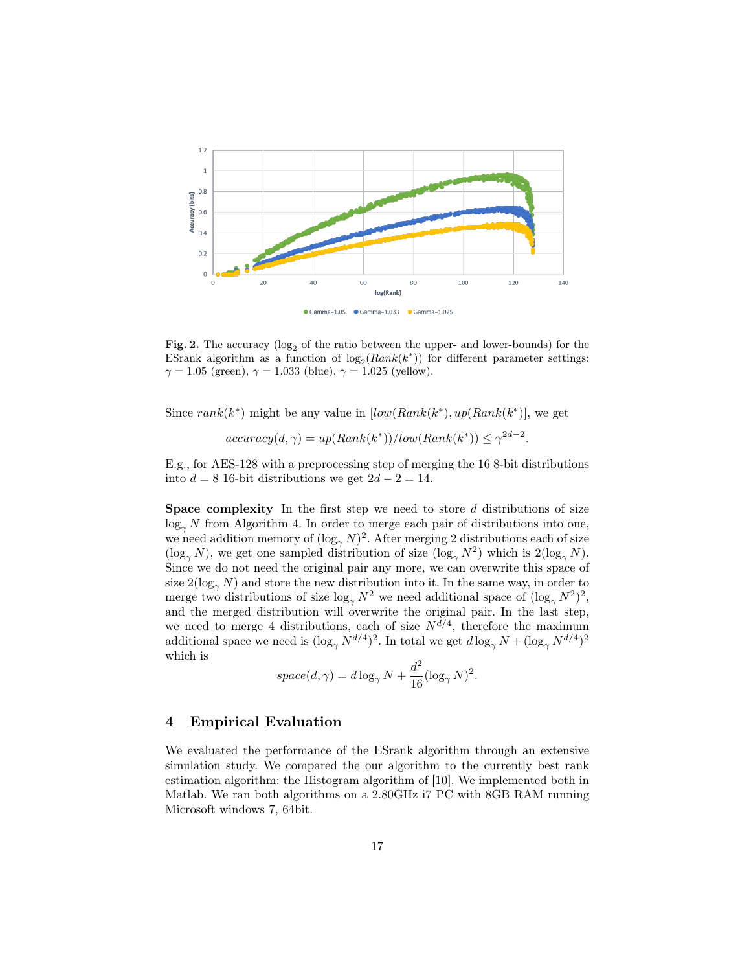

Fig. 2. The accuracy  $(\log_2 6)$  f the ratio between the upper- and lower-bounds) for the ESrank algorithm as a function of  $\log_2(Rank(k^*))$  for different parameter settings: *γ* = 1.05 (green), *γ* = 1.033 (blue), *γ* = 1.025 (yellow).

Since  $rank(k^*)$  might be any value in  $[low(Rank(k^*), up(Rank(k^*))]$ , we get

$$
accuracy(d, \gamma) = up(Rank(k^*))/low(Rank(k^*)) \le \gamma^{2d-2}.
$$

E.g., for AES-128 with a preprocessing step of merging the 16 8-bit distributions into  $d = 8$  16-bit distributions we get  $2d - 2 = 14$ .

Space complexity In the first step we need to store *d* distributions of size log*<sup>γ</sup> N* from Algorithm 4. In order to merge each pair of distributions into one, we need addition memory of  $(\log_{\gamma} N)^2$ . After merging 2 distributions each of size  $(\log_\gamma N)$ , we get one sampled distribution of size  $(\log_\gamma N^2)$  which is  $2(\log_\gamma N)$ . Since we do not need the original pair any more, we can overwrite this space of size  $2(\log_e N)$  and store the new distribution into it. In the same way, in order to merge two distributions of size  $\log_{\gamma} N^2$  we need additional space of  $(\log_{\gamma} N^2)^2$ , and the merged distribution will overwrite the original pair. In the last step, we need to merge 4 distributions, each of size  $N^{d/4}$ , therefore the maximum additional space we need is  $(\log_{\gamma} N^{d/4})^2$ . In total we get  $d \log_{\gamma} N + (\log_{\gamma} N^{d/4})^2$ which is

$$
space(d, \gamma) = d \log_{\gamma} N + \frac{d^2}{16} (\log_{\gamma} N)^2.
$$

### 4 Empirical Evaluation

We evaluated the performance of the ESrank algorithm through an extensive simulation study. We compared the our algorithm to the currently best rank estimation algorithm: the Histogram algorithm of [10]. We implemented both in Matlab. We ran both algorithms on a 2.80GHz i7 PC with 8GB RAM running Microsoft windows 7, 64bit.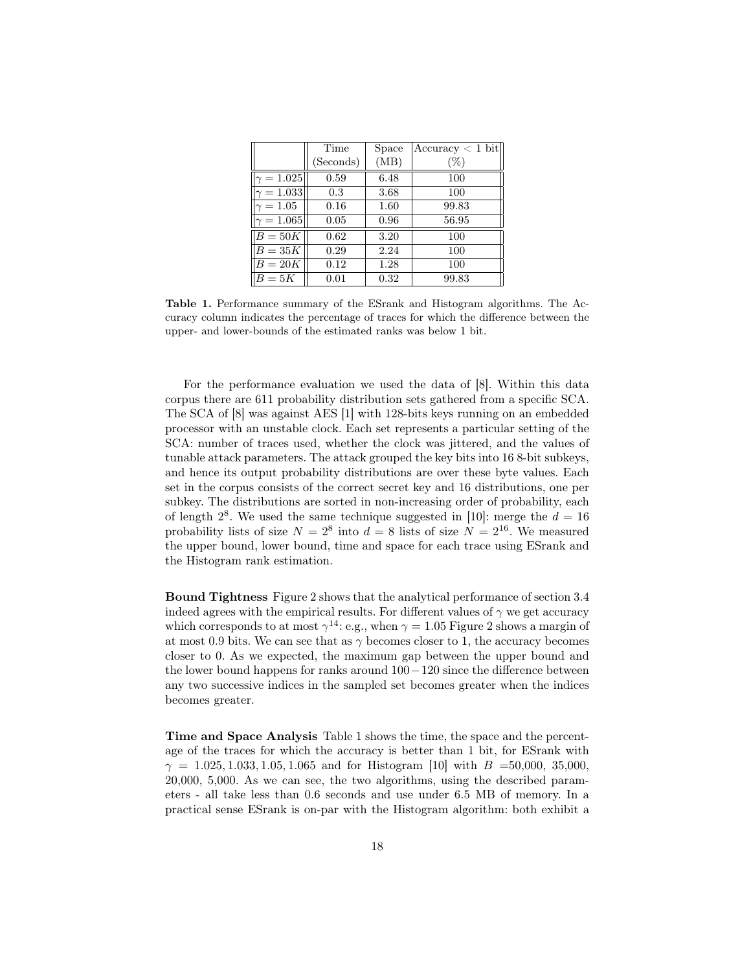|                  | Time      | Space | $\text{Accuracy} < 1 \text{ bit}$ |
|------------------|-----------|-------|-----------------------------------|
|                  | (Seconds) | (MB)  | $(\%)$                            |
| $\gamma = 1.025$ | 0.59      | 6.48  | 100                               |
| $\gamma = 1.033$ | 0.3       | 3.68  | 100                               |
| $\gamma = 1.05$  | 0.16      | 1.60  | 99.83                             |
| $ \gamma=1.065 $ | 0.05      | 0.96  | 56.95                             |
| $B=50K$          | 0.62      | 3.20  | 100                               |
| $B=35K$          | 0.29      | 2.24  | 100                               |
| $B=20K$          | 0.12      | 1.28  | 100                               |
| $B=5K$           | 0.01      | 0.32  | 99.83                             |

Table 1. Performance summary of the ESrank and Histogram algorithms. The Accuracy column indicates the percentage of traces for which the difference between the upper- and lower-bounds of the estimated ranks was below 1 bit.

For the performance evaluation we used the data of [8]. Within this data corpus there are 611 probability distribution sets gathered from a specific SCA. The SCA of [8] was against AES [1] with 128-bits keys running on an embedded processor with an unstable clock. Each set represents a particular setting of the SCA: number of traces used, whether the clock was jittered, and the values of tunable attack parameters. The attack grouped the key bits into 16 8-bit subkeys, and hence its output probability distributions are over these byte values. Each set in the corpus consists of the correct secret key and 16 distributions, one per subkey. The distributions are sorted in non-increasing order of probability, each of length  $2^8$ . We used the same technique suggested in [10]: merge the  $d = 16$ probability lists of size  $N = 2^8$  into  $d = 8$  lists of size  $N = 2^{16}$ . We measured the upper bound, lower bound, time and space for each trace using ESrank and the Histogram rank estimation.

Bound Tightness Figure 2 shows that the analytical performance of section 3.4 indeed agrees with the empirical results. For different values of  $\gamma$  we get accuracy which corresponds to at most  $\gamma^{14}$ : e.g., when  $\gamma = 1.05$  Figure 2 shows a margin of at most 0.9 bits. We can see that as  $\gamma$  becomes closer to 1, the accuracy becomes closer to 0. As we expected, the maximum gap between the upper bound and the lower bound happens for ranks around 100*−*120 since the difference between any two successive indices in the sampled set becomes greater when the indices becomes greater.

Time and Space Analysis Table 1 shows the time, the space and the percentage of the traces for which the accuracy is better than 1 bit, for ESrank with *γ* = 1*.*025*,* 1*.*033*,* 1*.*05*,* 1*.*065 and for Histogram [10] with *B* =50,000, 35,000, 20,000, 5,000. As we can see, the two algorithms, using the described parameters - all take less than 0.6 seconds and use under 6.5 MB of memory. In a practical sense ESrank is on-par with the Histogram algorithm: both exhibit a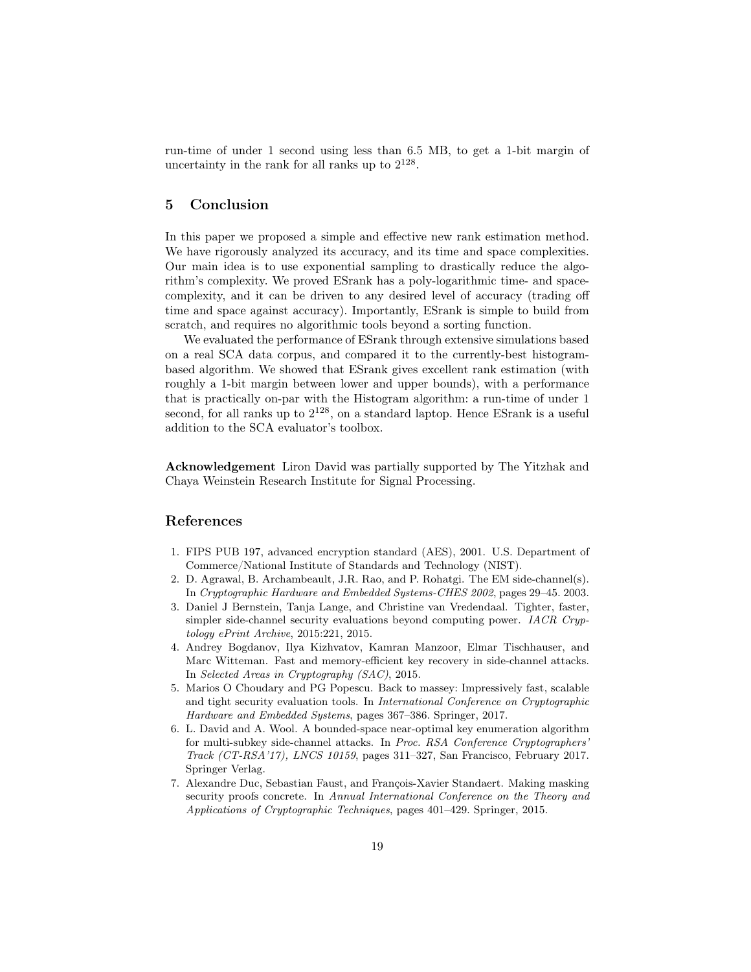run-time of under 1 second using less than 6.5 MB, to get a 1-bit margin of uncertainty in the rank for all ranks up to  $2^{128}$ .

## 5 Conclusion

In this paper we proposed a simple and effective new rank estimation method. We have rigorously analyzed its accuracy, and its time and space complexities. Our main idea is to use exponential sampling to drastically reduce the algorithm's complexity. We proved ESrank has a poly-logarithmic time- and spacecomplexity, and it can be driven to any desired level of accuracy (trading off time and space against accuracy). Importantly, ESrank is simple to build from scratch, and requires no algorithmic tools beyond a sorting function.

We evaluated the performance of ESrank through extensive simulations based on a real SCA data corpus, and compared it to the currently-best histogrambased algorithm. We showed that ESrank gives excellent rank estimation (with roughly a 1-bit margin between lower and upper bounds), with a performance that is practically on-par with the Histogram algorithm: a run-time of under 1 second, for all ranks up to  $2^{128}$ , on a standard laptop. Hence ESrank is a useful addition to the SCA evaluator's toolbox.

Acknowledgement Liron David was partially supported by The Yitzhak and Chaya Weinstein Research Institute for Signal Processing.

## References

- 1. FIPS PUB 197, advanced encryption standard (AES), 2001. U.S. Department of Commerce/National Institute of Standards and Technology (NIST).
- 2. D. Agrawal, B. Archambeault, J.R. Rao, and P. Rohatgi. The EM side-channel(s). In *Cryptographic Hardware and Embedded Systems-CHES 2002*, pages 29–45. 2003.
- 3. Daniel J Bernstein, Tanja Lange, and Christine van Vredendaal. Tighter, faster, simpler side-channel security evaluations beyond computing power. *IACR Cryptology ePrint Archive*, 2015:221, 2015.
- 4. Andrey Bogdanov, Ilya Kizhvatov, Kamran Manzoor, Elmar Tischhauser, and Marc Witteman. Fast and memory-efficient key recovery in side-channel attacks. In *Selected Areas in Cryptography (SAC)*, 2015.
- 5. Marios O Choudary and PG Popescu. Back to massey: Impressively fast, scalable and tight security evaluation tools. In *International Conference on Cryptographic Hardware and Embedded Systems*, pages 367–386. Springer, 2017.
- 6. L. David and A. Wool. A bounded-space near-optimal key enumeration algorithm for multi-subkey side-channel attacks. In *Proc. RSA Conference Cryptographers' Track (CT-RSA'17), LNCS 10159*, pages 311–327, San Francisco, February 2017. Springer Verlag.
- 7. Alexandre Duc, Sebastian Faust, and François-Xavier Standaert. Making masking security proofs concrete. In *Annual International Conference on the Theory and Applications of Cryptographic Techniques*, pages 401–429. Springer, 2015.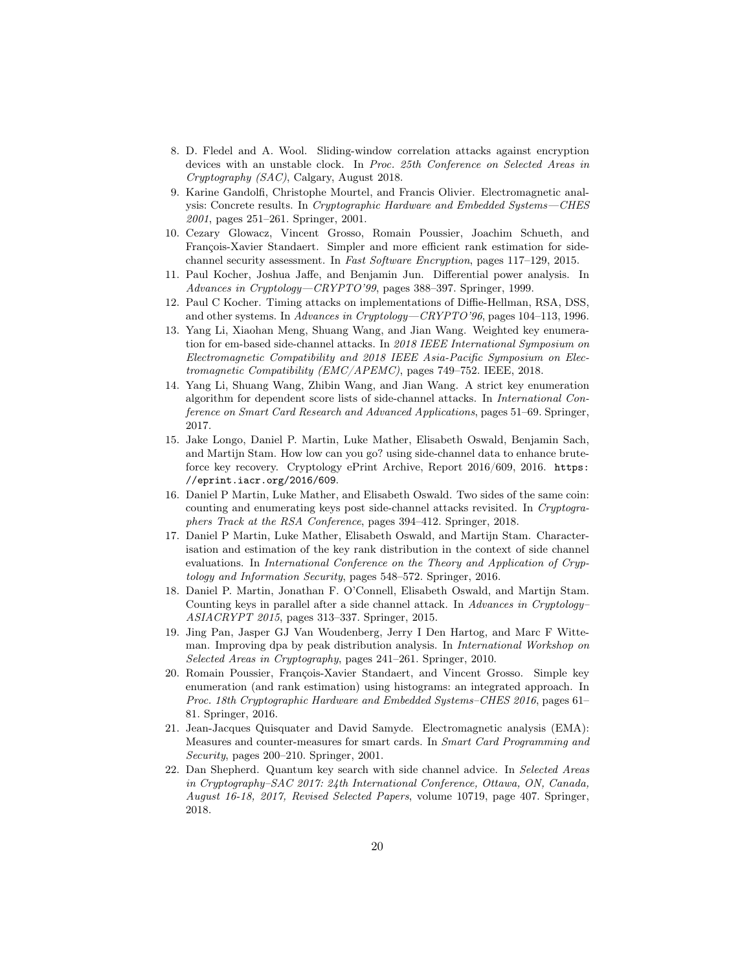- 8. D. Fledel and A. Wool. Sliding-window correlation attacks against encryption devices with an unstable clock. In *Proc. 25th Conference on Selected Areas in Cryptography (SAC)*, Calgary, August 2018.
- 9. Karine Gandolfi, Christophe Mourtel, and Francis Olivier. Electromagnetic analysis: Concrete results. In *Cryptographic Hardware and Embedded Systems—CHES 2001*, pages 251–261. Springer, 2001.
- 10. Cezary Glowacz, Vincent Grosso, Romain Poussier, Joachim Schueth, and François-Xavier Standaert. Simpler and more efficient rank estimation for sidechannel security assessment. In *Fast Software Encryption*, pages 117–129, 2015.
- 11. Paul Kocher, Joshua Jaffe, and Benjamin Jun. Differential power analysis. In *Advances in Cryptology—CRYPTO'99*, pages 388–397. Springer, 1999.
- 12. Paul C Kocher. Timing attacks on implementations of Diffie-Hellman, RSA, DSS, and other systems. In *Advances in Cryptology—CRYPTO'96*, pages 104–113, 1996.
- 13. Yang Li, Xiaohan Meng, Shuang Wang, and Jian Wang. Weighted key enumeration for em-based side-channel attacks. In *2018 IEEE International Symposium on Electromagnetic Compatibility and 2018 IEEE Asia-Pacific Symposium on Electromagnetic Compatibility (EMC/APEMC)*, pages 749–752. IEEE, 2018.
- 14. Yang Li, Shuang Wang, Zhibin Wang, and Jian Wang. A strict key enumeration algorithm for dependent score lists of side-channel attacks. In *International Conference on Smart Card Research and Advanced Applications*, pages 51–69. Springer, 2017.
- 15. Jake Longo, Daniel P. Martin, Luke Mather, Elisabeth Oswald, Benjamin Sach, and Martijn Stam. How low can you go? using side-channel data to enhance bruteforce key recovery. Cryptology ePrint Archive, Report 2016/609, 2016. https: //eprint.iacr.org/2016/609.
- 16. Daniel P Martin, Luke Mather, and Elisabeth Oswald. Two sides of the same coin: counting and enumerating keys post side-channel attacks revisited. In *Cryptographers Track at the RSA Conference*, pages 394–412. Springer, 2018.
- 17. Daniel P Martin, Luke Mather, Elisabeth Oswald, and Martijn Stam. Characterisation and estimation of the key rank distribution in the context of side channel evaluations. In *International Conference on the Theory and Application of Cryptology and Information Security*, pages 548–572. Springer, 2016.
- 18. Daniel P. Martin, Jonathan F. O'Connell, Elisabeth Oswald, and Martijn Stam. Counting keys in parallel after a side channel attack. In *Advances in Cryptology– ASIACRYPT 2015*, pages 313–337. Springer, 2015.
- 19. Jing Pan, Jasper GJ Van Woudenberg, Jerry I Den Hartog, and Marc F Witteman. Improving dpa by peak distribution analysis. In *International Workshop on Selected Areas in Cryptography*, pages 241–261. Springer, 2010.
- 20. Romain Poussier, François-Xavier Standaert, and Vincent Grosso. Simple key enumeration (and rank estimation) using histograms: an integrated approach. In *Proc. 18th Cryptographic Hardware and Embedded Systems–CHES 2016*, pages 61– 81. Springer, 2016.
- 21. Jean-Jacques Quisquater and David Samyde. Electromagnetic analysis (EMA): Measures and counter-measures for smart cards. In *Smart Card Programming and Security*, pages 200–210. Springer, 2001.
- 22. Dan Shepherd. Quantum key search with side channel advice. In *Selected Areas in Cryptography–SAC 2017: 24th International Conference, Ottawa, ON, Canada, August 16-18, 2017, Revised Selected Papers*, volume 10719, page 407. Springer, 2018.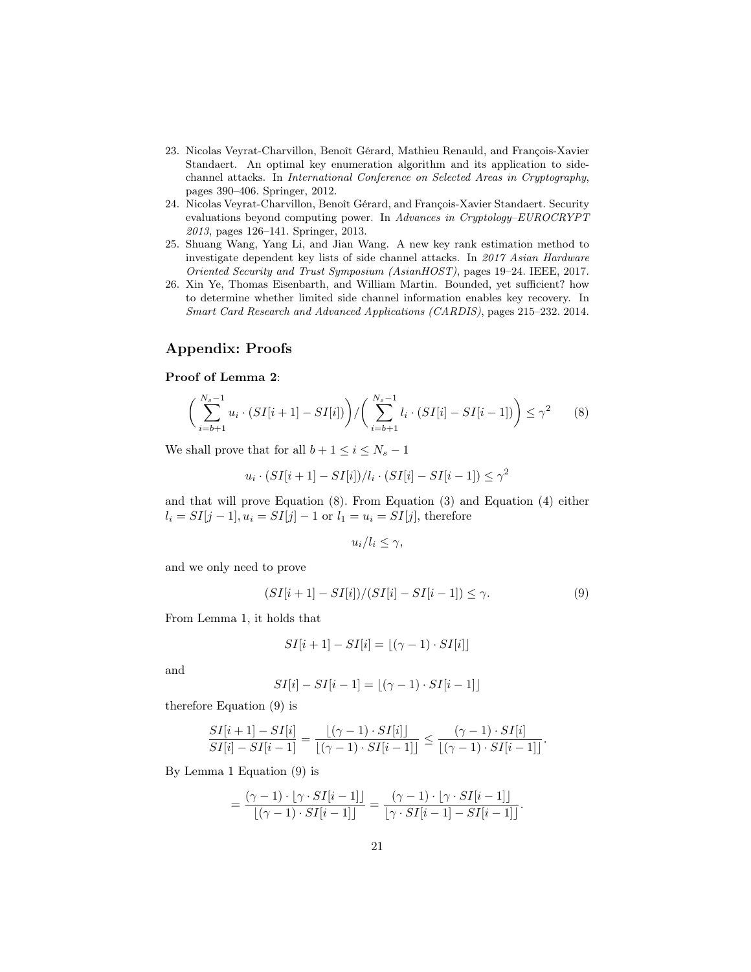- 23. Nicolas Veyrat-Charvillon, Benoît Gérard, Mathieu Renauld, and François-Xavier Standaert. An optimal key enumeration algorithm and its application to sidechannel attacks. In *International Conference on Selected Areas in Cryptography*, pages 390–406. Springer, 2012.
- 24. Nicolas Veyrat-Charvillon, Benoît Gérard, and François-Xavier Standaert. Security evaluations beyond computing power. In *Advances in Cryptology–EUROCRYPT 2013*, pages 126–141. Springer, 2013.
- 25. Shuang Wang, Yang Li, and Jian Wang. A new key rank estimation method to investigate dependent key lists of side channel attacks. In *2017 Asian Hardware Oriented Security and Trust Symposium (AsianHOST)*, pages 19–24. IEEE, 2017.
- 26. Xin Ye, Thomas Eisenbarth, and William Martin. Bounded, yet sufficient? how to determine whether limited side channel information enables key recovery. In *Smart Card Research and Advanced Applications (CARDIS)*, pages 215–232. 2014.

# Appendix: Proofs

### Proof of Lemma 2:

$$
\left(\sum_{i=b+1}^{N_s-1} u_i \cdot (SI[i+1] - SI[i])\right) / \left(\sum_{i=b+1}^{N_s-1} l_i \cdot (SI[i] - SI[i-1])\right) \leq \gamma^2 \tag{8}
$$

We shall prove that for all  $b + 1 \leq i \leq N_s - 1$ 

$$
u_i \cdot (SI[i+1] - SI[i])/l_i \cdot (SI[i] - SI[i-1]) \le \gamma^2
$$

and that will prove Equation (8). From Equation (3) and Equation (4) either  $l_i = SI[j-1], u_i = SI[j] - 1$  or  $l_1 = u_i = SI[j]$ , therefore

$$
u_i/l_i \leq \gamma,
$$

and we only need to prove

$$
(SI[i+1] - SI[i])/(SI[i] - SI[i-1]) \le \gamma.
$$
\n
$$
(9)
$$

From Lemma 1, it holds that

$$
SI[i+1] - SI[i] = \lfloor (\gamma - 1) \cdot SI[i] \rfloor
$$

and

$$
SI[i] - SI[i-1] = \lfloor (\gamma - 1) \cdot SI[i-1] \rfloor
$$

therefore Equation (9) is

$$
\frac{SI[i+1]-SI[i]}{SI[i]-SI[i-1]}=\frac{\lfloor (\gamma-1)\cdot SI[i]\rfloor}{\lfloor (\gamma-1)\cdot SI[i-1]\rfloor}\leq \frac{(\gamma-1)\cdot SI[i]}{\lfloor (\gamma-1)\cdot SI[i-1]\rfloor}.
$$

By Lemma 1 Equation (9) is

$$
= \frac{(\gamma - 1) \cdot [\gamma \cdot SI[i-1]]}{\lfloor (\gamma - 1) \cdot SI[i-1] \rfloor} = \frac{(\gamma - 1) \cdot [\gamma \cdot SI[i-1]]}{\lfloor \gamma \cdot SI[i-1] - SI[i-1] \rfloor}.
$$